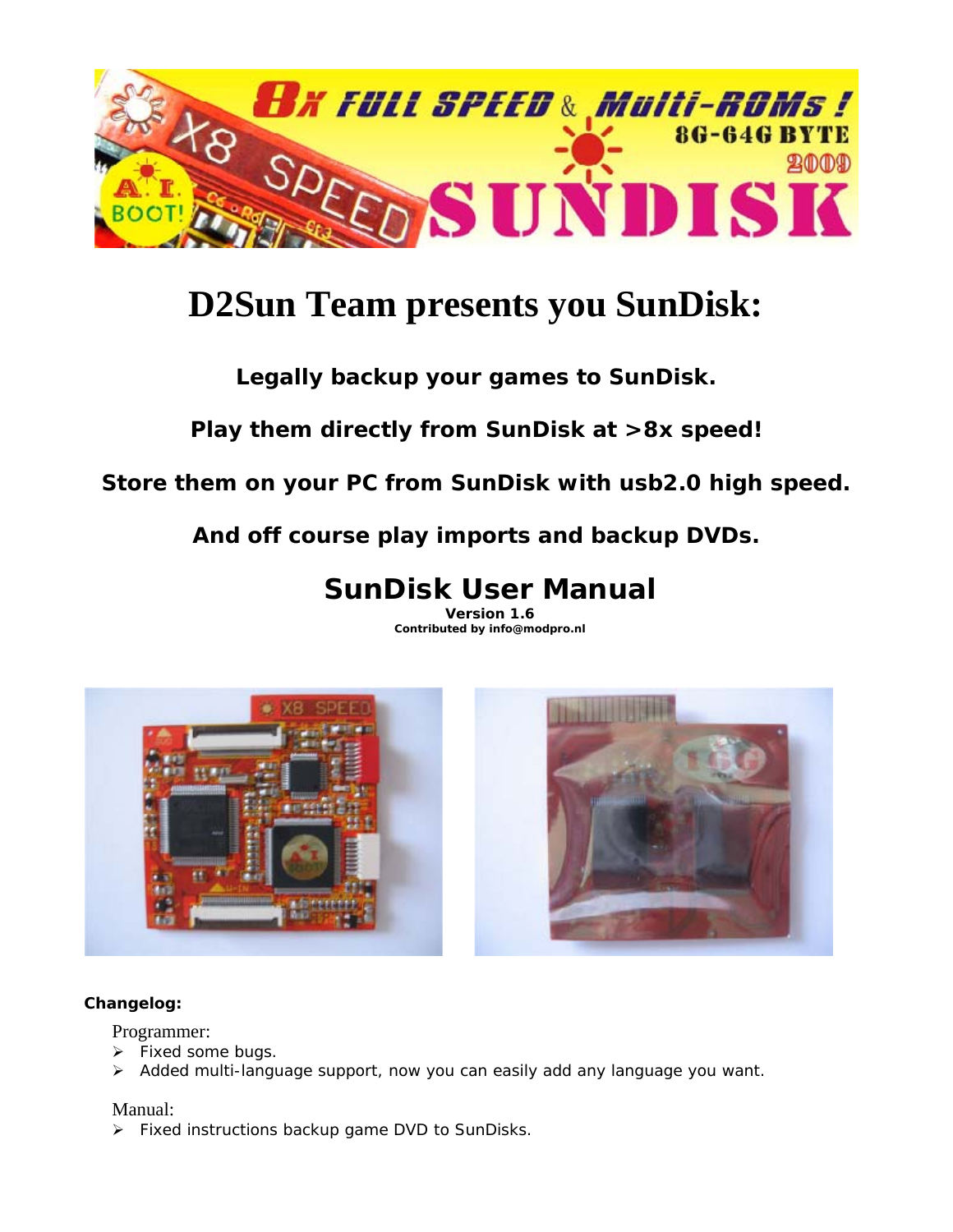

# **D2Sun Team presents you SunDisk:**

## *Legally backup your games to SunDisk.*

*Play them directly from SunDisk at >8x speed!* 

*Store them on your PC from SunDisk with usb2.0 high speed.* 

*And off course play imports and backup DVDs.* 

## **SunDisk User Manual**

**Version 1.6 Contributed by info@modpro.nl** 



#### **Changelog:**

Programmer:

- $\triangleright$  Fixed some bugs.
- $\triangleright$  Added multi-language support, now you can easily add any language you want.

#### Manual:

 $\triangleright$  Fixed instructions backup game DVD to SunDisks.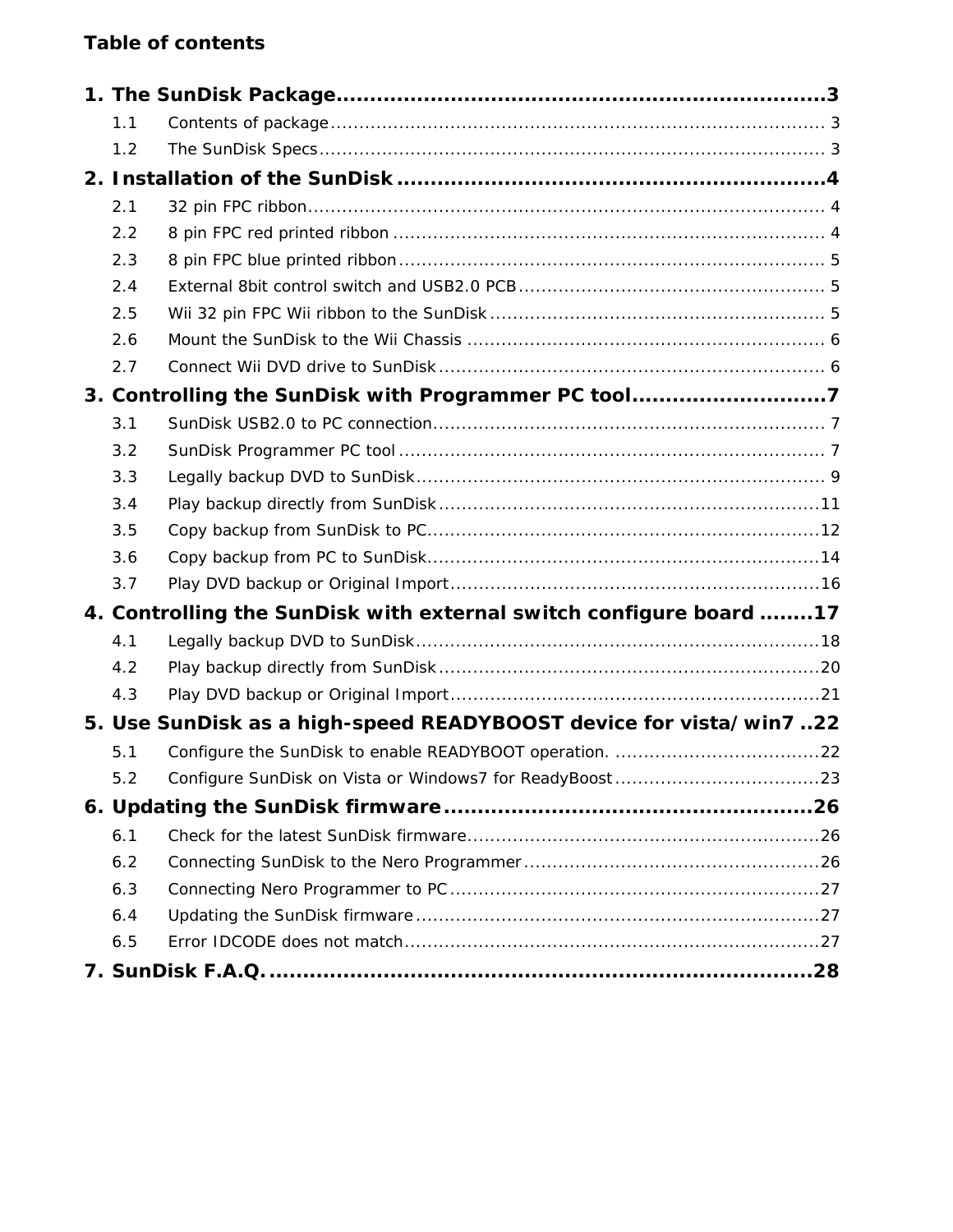## **Table of contents**

| 1.1 |                                                                    |  |
|-----|--------------------------------------------------------------------|--|
| 1.2 |                                                                    |  |
|     |                                                                    |  |
| 2.1 |                                                                    |  |
| 2.2 |                                                                    |  |
| 2.3 |                                                                    |  |
| 2.4 |                                                                    |  |
| 2.5 |                                                                    |  |
| 2.6 |                                                                    |  |
| 2.7 |                                                                    |  |
|     | 3. Controlling the SunDisk with Programmer PC tool7                |  |
| 3.1 |                                                                    |  |
| 3.2 |                                                                    |  |
| 3.3 |                                                                    |  |
| 3.4 |                                                                    |  |
| 3.5 |                                                                    |  |
| 3.6 |                                                                    |  |
| 3.7 |                                                                    |  |
|     | 4. Controlling the SunDisk with external switch configure board 17 |  |
| 4.1 |                                                                    |  |
| 4.2 |                                                                    |  |
| 4.3 |                                                                    |  |
|     | 5. Use SunDisk as a high-speed READYBOOST device for vista/win722  |  |
| 5.1 |                                                                    |  |
| 5.2 |                                                                    |  |
|     |                                                                    |  |
| 6.1 |                                                                    |  |
| 6.2 |                                                                    |  |
| 6.3 |                                                                    |  |
| 6.4 |                                                                    |  |
| 6.5 |                                                                    |  |
|     |                                                                    |  |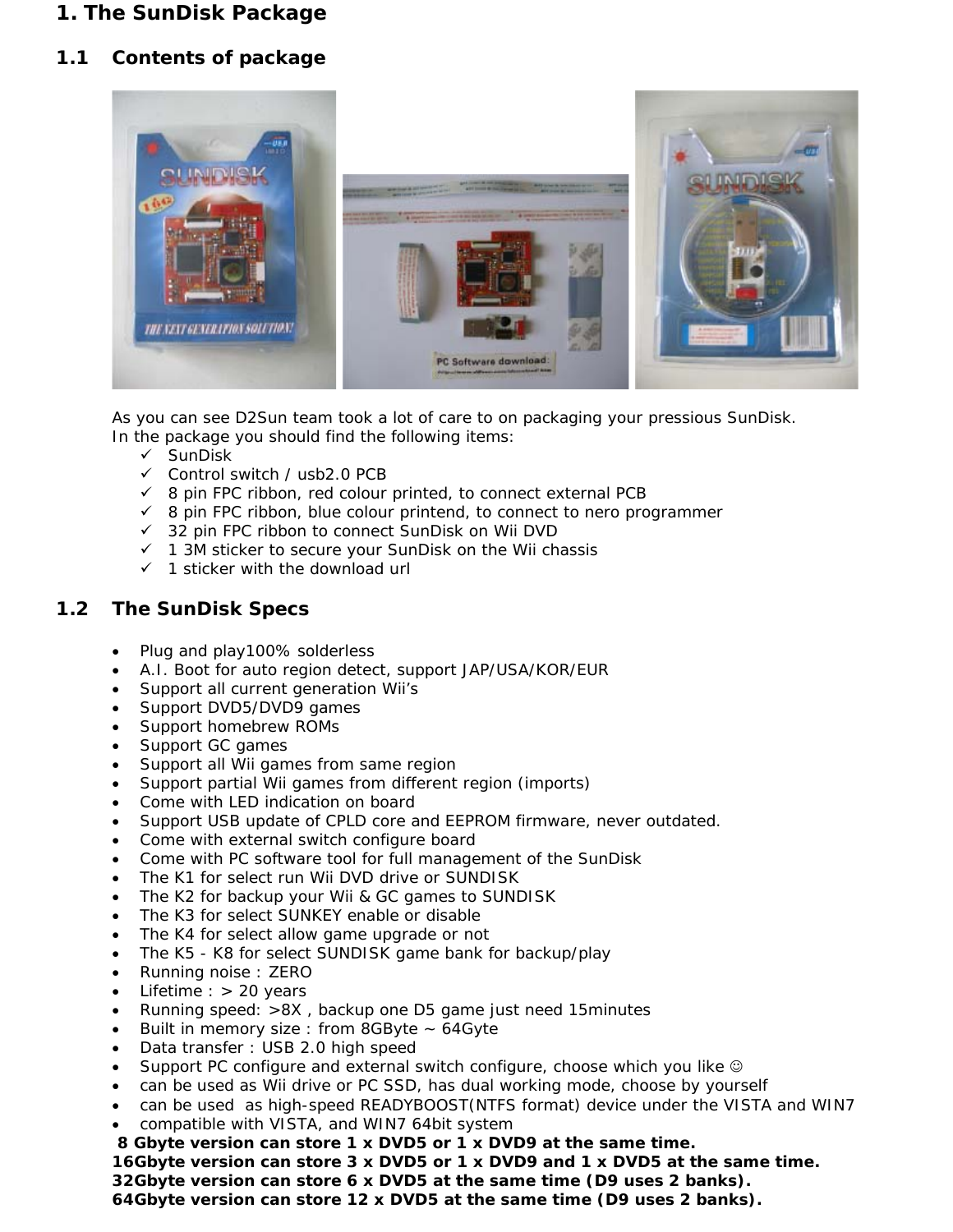## <span id="page-2-0"></span>**1. The SunDisk Package**

#### <span id="page-2-1"></span>**1.1 Contents of package**



As you can see D2Sun team took a lot of care to on packaging your pressious SunDisk. In the package you should find the following items:

- $\checkmark$  SunDisk
- $\checkmark$  Control switch / usb2.0 PCB
- $\checkmark$  8 pin FPC ribbon, red colour printed, to connect external PCB
- $\checkmark$  8 pin FPC ribbon, blue colour printend, to connect to nero programmer
- 32 pin FPC ribbon to connect SunDisk on Wii DVD
- $\checkmark$  1 3M sticker to secure your SunDisk on the Wii chassis
- $\checkmark$  1 sticker with the download url

#### <span id="page-2-2"></span>**1.2 The SunDisk Specs**

- Plug and play100% solderless
- A.I. Boot for auto region detect, support JAP/USA/KOR/EUR
- Support all current generation Wii's
- Support DVD5/DVD9 games
- Support homebrew ROMs
- Support GC games
- Support all Wii games from same region
- Support partial Wii games from different region *(imports)*
- Come with LED indication on board
- Support USB update of CPLD core and EEPROM firmware, never outdated.
- Come with external switch configure board
- Come with PC software tool for full management of the SunDisk
- The K1 for select run Wii DVD drive or SUNDISK
- The K2 for backup your Wii & GC games to SUNDISK
- The K3 for select SUNKEY enable or disable
- The K4 for select allow game upgrade or not
- The K5 K8 for select SUNDISK game bank for backup/play
- Running noise : ZERO
- Lifetime : > 20 years
- Running speed: >8X , backup one D5 game just need 15minutes
- Built in memory size : from 8GByte ~ 64Gyte
- Data transfer : USB 2.0 high speed
- Support PC configure and external switch configure, choose which you like  $\circledcirc$
- can be used as Wii drive or PC SSD, has dual working mode, choose by yourself
- can be used as high-speed READYBOOST(NTFS format) device under the VISTA and WIN7
- compatible with VISTA, and WIN7 64bit system
- **8 Gbyte version can store 1 x DVD5 or 1 x DVD9 at the same time.**

**16Gbyte version can store 3 x DVD5 or 1 x DVD9 and 1 x DVD5 at the same time.** 

**32Gbyte version can store 6 x DVD5 at the same time (D9 uses 2 banks).** 

**64Gbyte version can store 12 x DVD5 at the same time (D9 uses 2 banks).**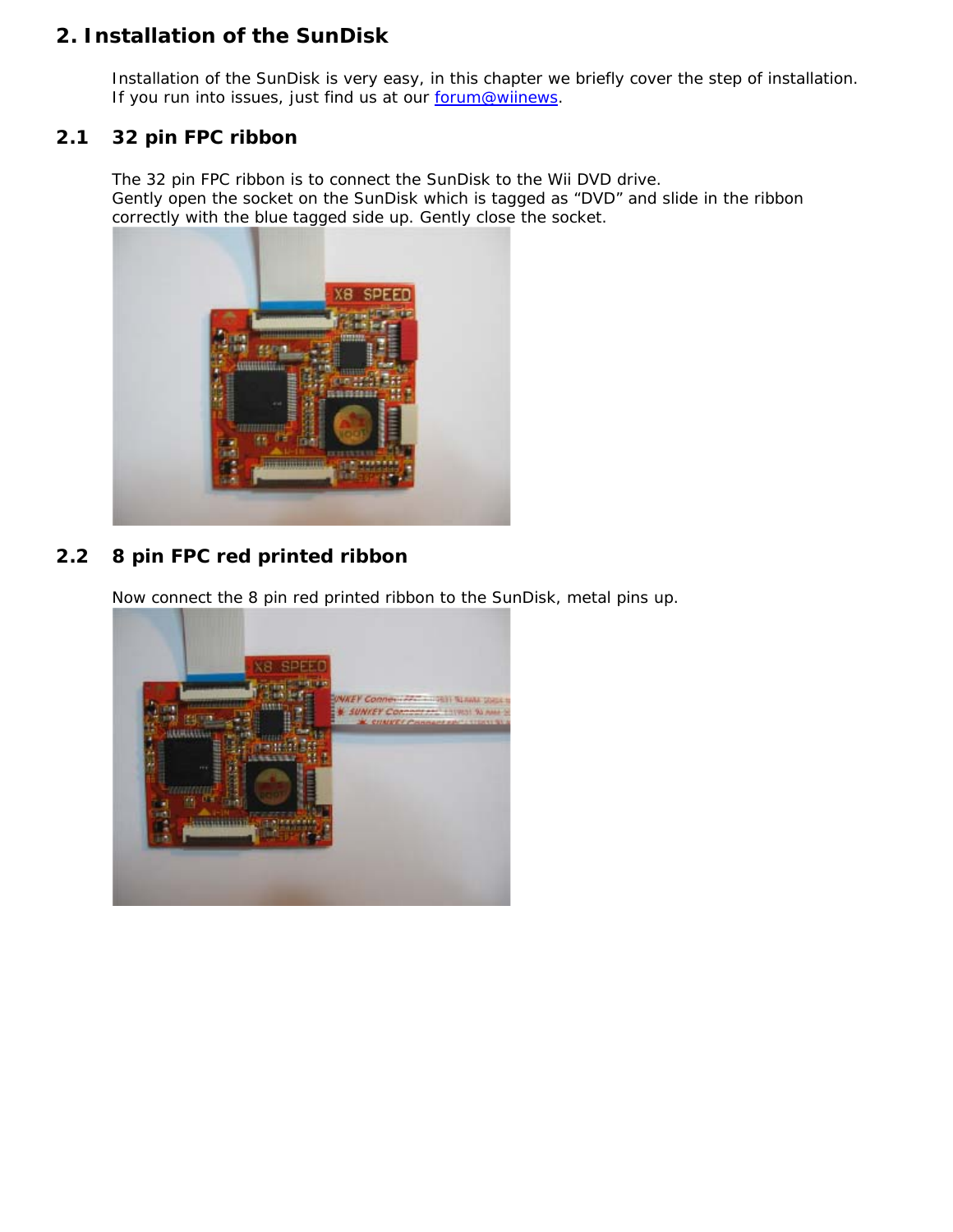## <span id="page-3-0"></span>**2. Installation of the SunDisk**

Installation of the SunDisk is very easy, in this chapter we briefly cover the step of installation. If you run into issues, just find us at our [forum@wiinews.](http://wiinewz.com/forums/sundisk/)

#### <span id="page-3-1"></span>**2.1 32 pin FPC ribbon**

The 32 pin FPC ribbon is to connect the SunDisk to the Wii DVD drive. Gently open the socket on the SunDisk which is tagged as "DVD" and slide in the ribbon correctly with the blue tagged side up. Gently close the socket.



## <span id="page-3-2"></span>**2.2 8 pin FPC red printed ribbon**

Now connect the 8 pin red printed ribbon to the SunDisk, metal pins up.

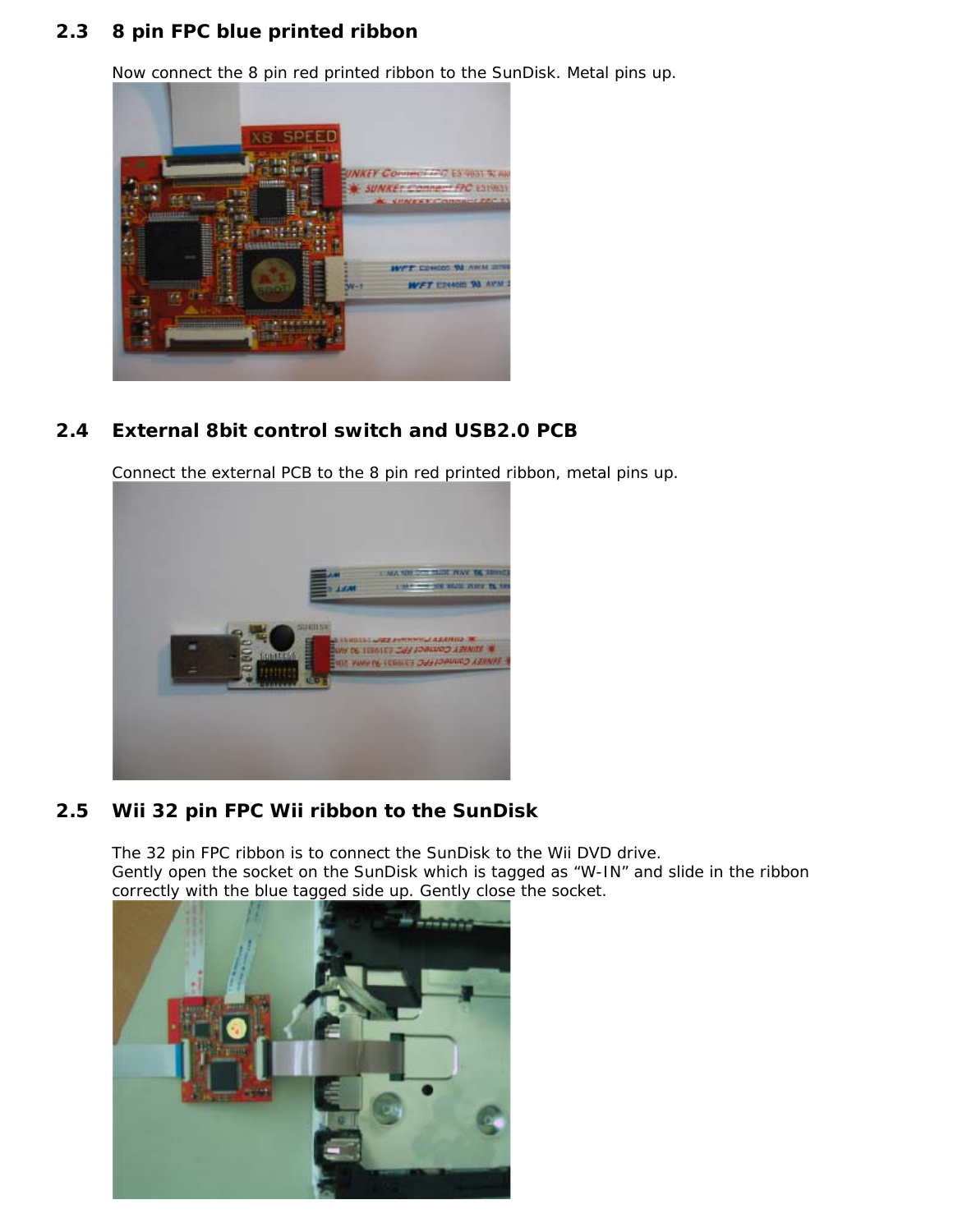#### <span id="page-4-0"></span>**2.3 8 pin FPC blue printed ribbon**

Now connect the 8 pin red printed ribbon to the SunDisk. Metal pins up.



## <span id="page-4-1"></span>**2.4 External 8bit control switch and USB2.0 PCB**

Connect the external PCB to the 8 pin red printed ribbon, metal pins up.



#### <span id="page-4-2"></span>**2.5 Wii 32 pin FPC Wii ribbon to the SunDisk**

The 32 pin FPC ribbon is to connect the SunDisk to the Wii DVD drive. Gently open the socket on the SunDisk which is tagged as "W-IN" and slide in the ribbon correctly with the blue tagged side up. Gently close the socket.

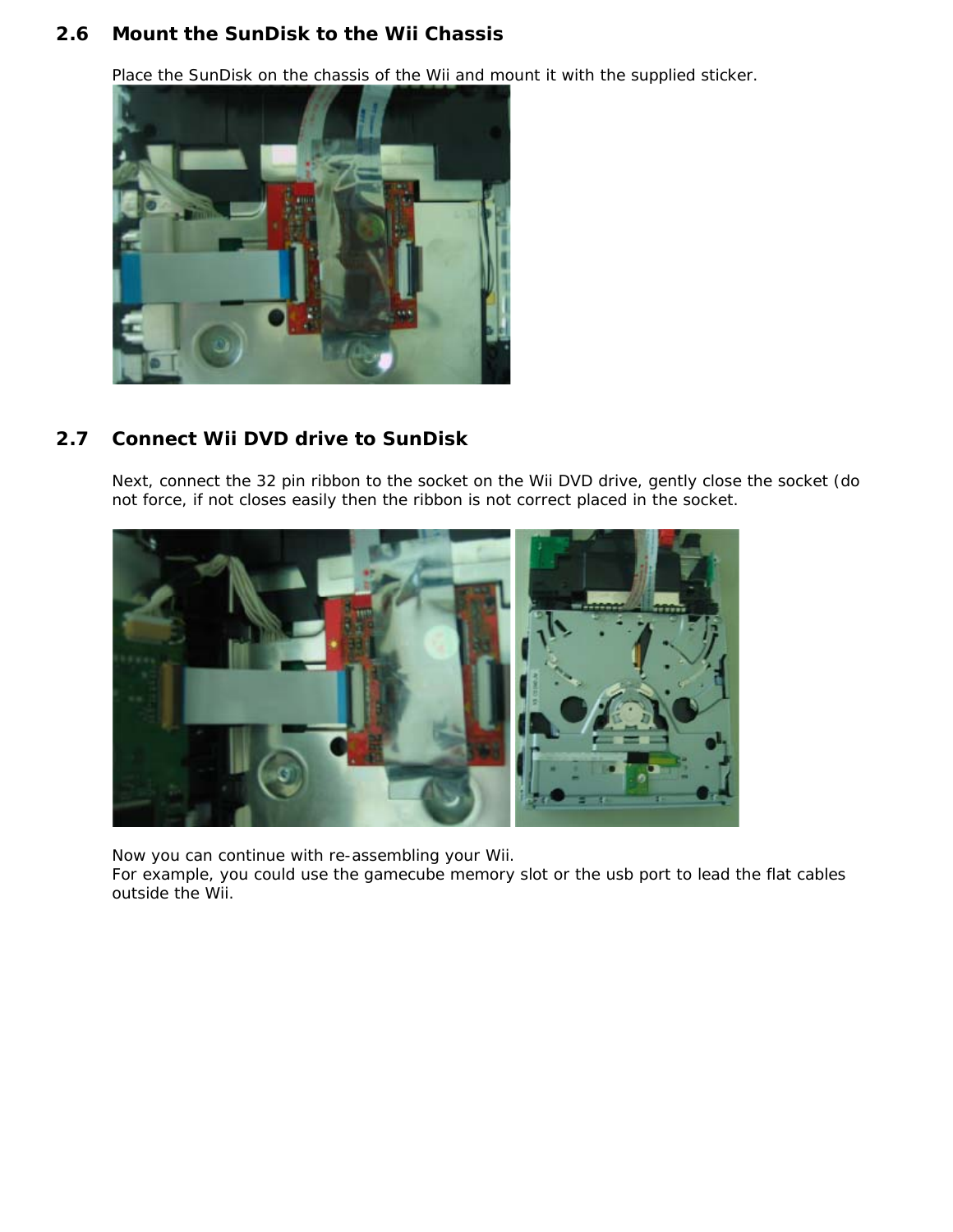#### <span id="page-5-0"></span>**2.6 Mount the SunDisk to the Wii Chassis**

Place the SunDisk on the chassis of the Wii and mount it with the supplied sticker.



#### <span id="page-5-1"></span>**2.7 Connect Wii DVD drive to SunDisk**

Next, connect the 32 pin ribbon to the socket on the Wii DVD drive, gently close the socket (do not force, if not closes easily then the ribbon is not correct placed in the socket.



Now you can continue with re-assembling your Wii.

For example, you could use the gamecube memory slot or the usb port to lead the flat cables outside the Wii.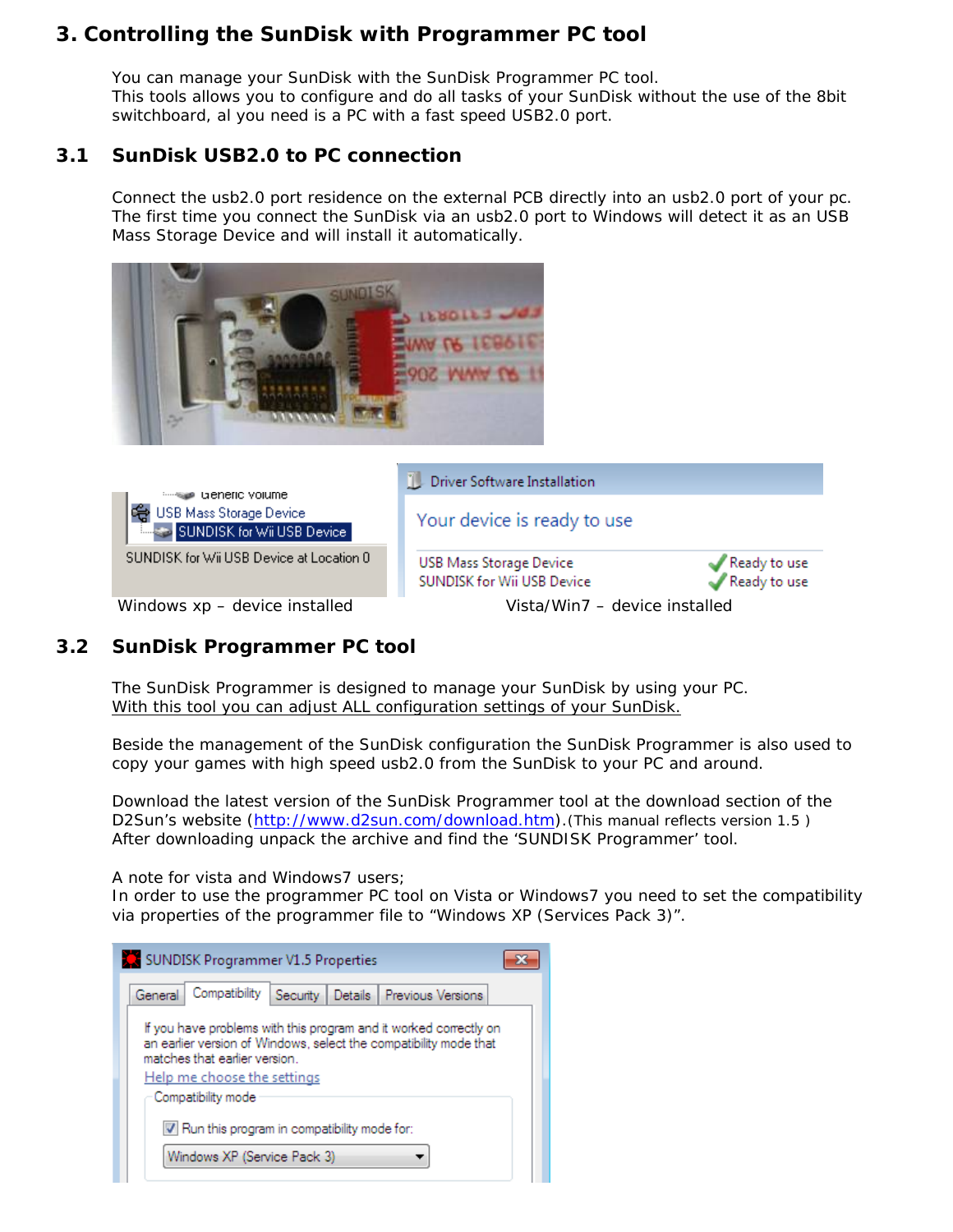## <span id="page-6-0"></span>**3. Controlling the SunDisk with Programmer PC tool**

You can manage your SunDisk with the SunDisk Programmer PC tool. This tools allows you to configure and do all tasks of your SunDisk without the use of the 8bit switchboard, al you need is a PC with a fast speed USB2.0 port.

#### <span id="page-6-1"></span>**3.1 SunDisk USB2.0 to PC connection**

Connect the usb2.0 port residence on the external PCB directly into an usb2.0 port of your pc. The first time you connect the SunDisk via an usb2.0 port to Windows will detect it as an USB Mass Storage Device and will install it automatically.



#### <span id="page-6-2"></span>**3.2 SunDisk Programmer PC tool**

The SunDisk Programmer is designed to manage your SunDisk by using your PC. With this tool you can adjust *ALL* configuration settings of your SunDisk.

Beside the management of the SunDisk configuration the SunDisk Programmer is also used to copy your games with high speed usb2.0 from the SunDisk to your PC and around.

Download the latest version of the SunDisk Programmer tool at the download section of the D2Sun's website *[\(http://www.d2sun.com/download.htm\)](http://www.d2sun.com/download/SUNDISK_Programmer_V1.3.rar).*(This manual reflects version 1.5 ) After downloading unpack the archive and find the 'SUNDISK Programmer' tool.

A note for vista and Windows7 users;

In order to use the programmer PC tool on Vista or Windows7 you need to set the compatibility via properties of the programmer file to "Windows XP (Services Pack 3)".

| SUNDISK Programmer V1.5 Properties                                                                                                                                                                     |  |  |  |  |  |  |
|--------------------------------------------------------------------------------------------------------------------------------------------------------------------------------------------------------|--|--|--|--|--|--|
| Compatibility<br>General<br>Details Previous Versions<br>Security                                                                                                                                      |  |  |  |  |  |  |
| If you have problems with this program and it worked correctly on<br>an earlier version of Windows, select the compatibility mode that<br>matches that earlier version.<br>Help me choose the settings |  |  |  |  |  |  |
| Compatibility mode                                                                                                                                                                                     |  |  |  |  |  |  |
| V Run this program in compatibility mode for:                                                                                                                                                          |  |  |  |  |  |  |
| Windows XP (Service Pack 3)                                                                                                                                                                            |  |  |  |  |  |  |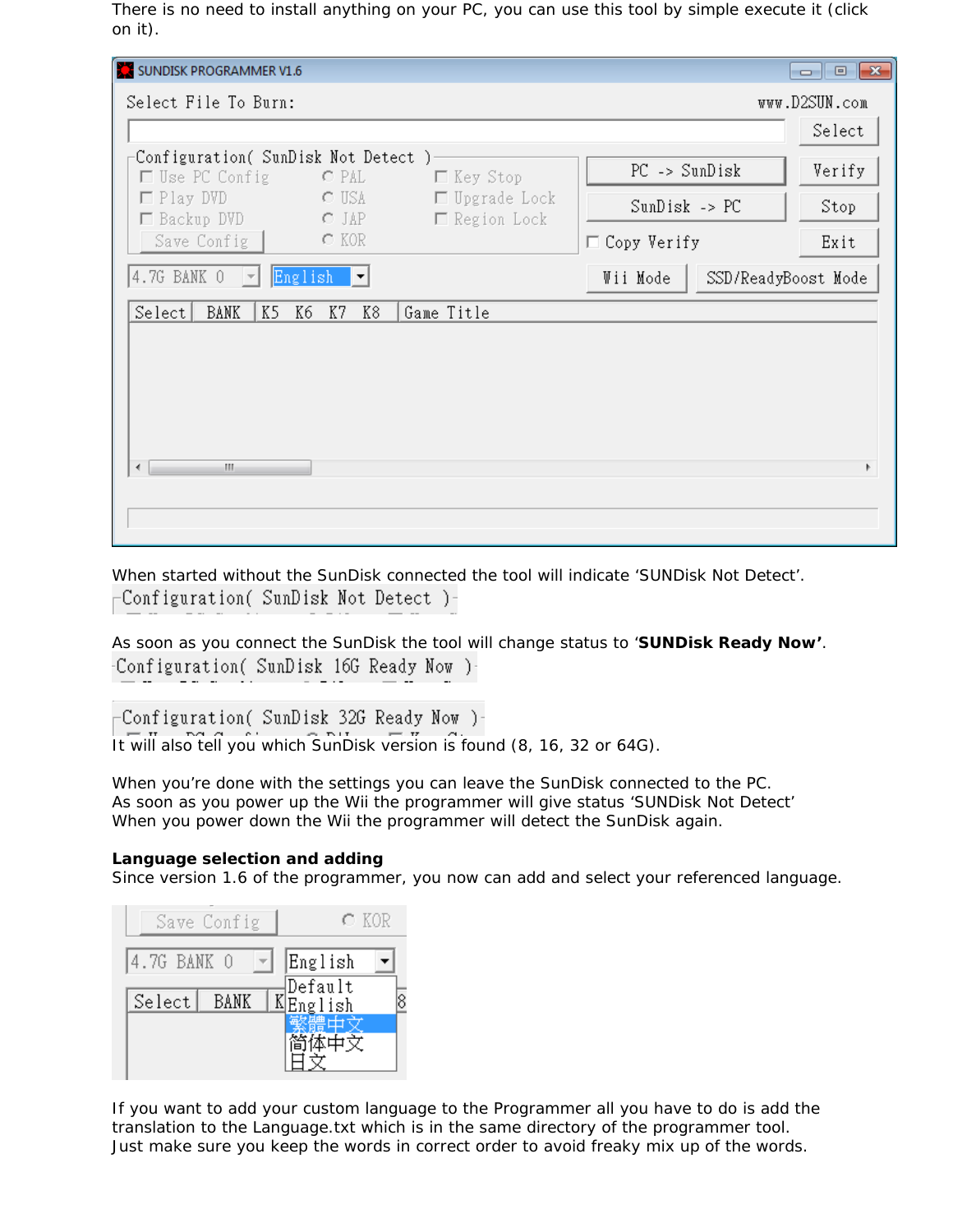There is no need to install anything on your PC, you can use this tool by simple execute it (click on it).

| SUNDISK PROGRAMMER V1.6                                                                              |                                 | $\Box$ $\Box$ $\mathbf{x}$ |
|------------------------------------------------------------------------------------------------------|---------------------------------|----------------------------|
| Select File To Burn:                                                                                 |                                 | www.D2SUN.com              |
|                                                                                                      |                                 | Select                     |
| Configuration( SunDisk Not Detect )                                                                  | $PC$ -> SunDisk                 | Verify                     |
| $\Box$ Use PC Config<br>□ Key Stop<br>O PAL<br>$\Box$ Upgrade Lock<br>$\Box$ Play DVD<br><b>CUSA</b> | $SunDisk \rightarrow PC$        |                            |
| □ Backup DVD<br>$\circ$ Jap<br>$\Box$ Region Lock                                                    |                                 | Stop                       |
| $C$ KOR<br>Save Config                                                                               | $\Box$ Copy Verify              | Exit                       |
| 4.7G BANK 0<br>English<br>$\vert \nabla \vert$<br>$ \mathbf{v} $                                     | Wii Mode<br>SSD/ReadyBoost Mode |                            |
| Select <br>BANK<br>K5<br>K8<br>Game Title<br>K6<br>K7                                                |                                 |                            |
|                                                                                                      |                                 |                            |
|                                                                                                      |                                 |                            |
|                                                                                                      |                                 |                            |
|                                                                                                      |                                 |                            |
| m.<br>∢                                                                                              |                                 | Þ                          |
|                                                                                                      |                                 |                            |
|                                                                                                      |                                 |                            |

When started without the SunDisk connected the tool will indicate 'SUNDisk Not Detect'. Configuration( SunDisk Not Detect )–

As soon as you connect the SunDisk the tool will change status to '**SUNDisk Ready Now'**. Configuration( SunDisk 16G Ready Now )-

Configuration( SunDisk 32G Ready Now )-

It will also tell you which SunDisk version is found (8, 16, 32 or 64G).

When you're done with the settings you can leave the SunDisk connected to the PC. As soon as you power up the Wii the programmer will give status 'SUNDisk Not Detect' When you power down the Wii the programmer will detect the SunDisk again.

#### **Language selection and adding**

Since version 1.6 of the programmer, you now can add and select your referenced language.

|             | Save Config | $\in$ KOR          |  |
|-------------|-------------|--------------------|--|
| 4.7G BANK 0 |             | English            |  |
| Select      | BANK        | Default<br>English |  |
|             |             |                    |  |
|             |             |                    |  |

If you want to add your custom language to the Programmer all you have to do is add the translation to the Language.txt which is in the same directory of the programmer tool. Just make sure you keep the words in correct order to avoid freaky mix up of the words.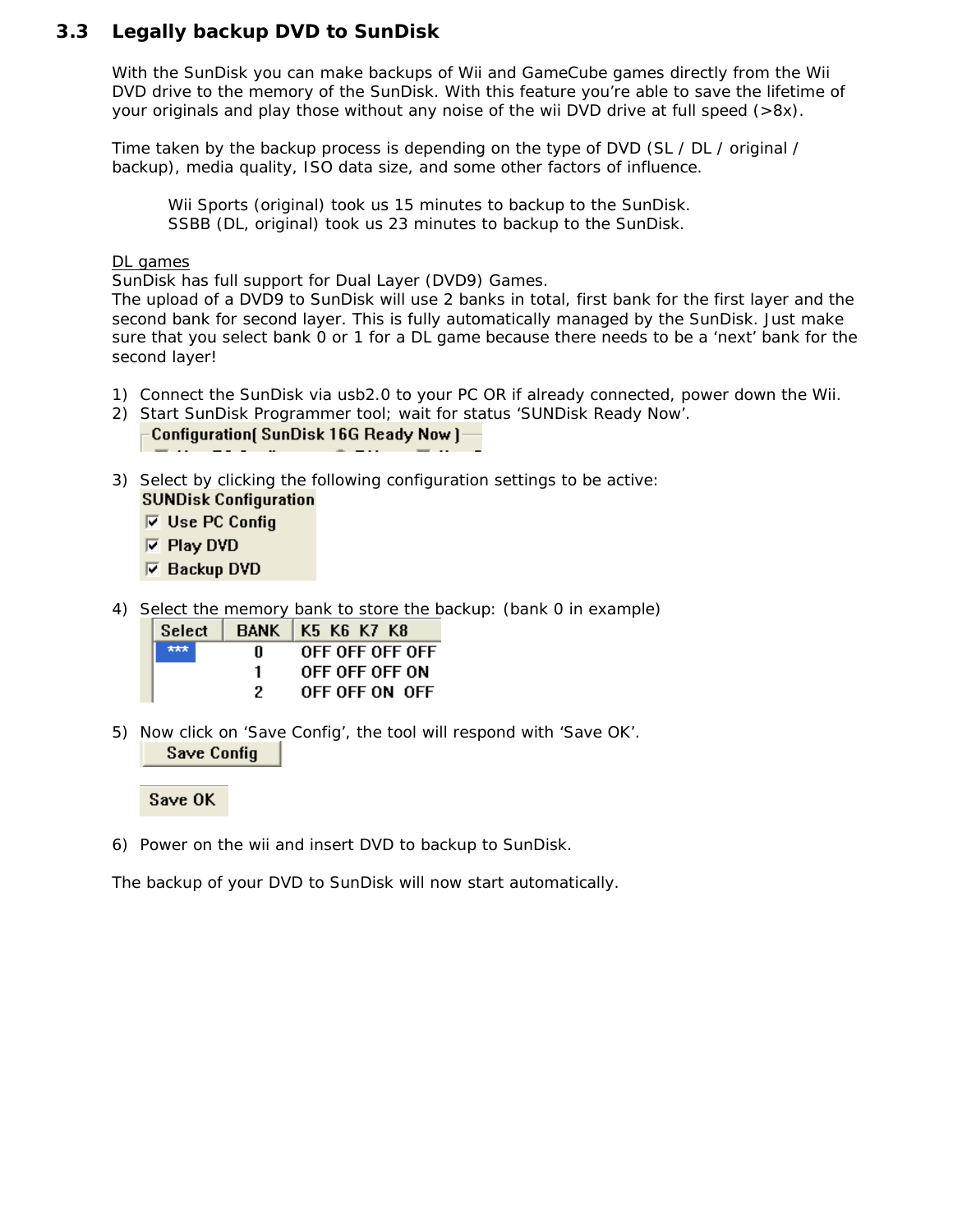#### <span id="page-8-0"></span>**3.3 Legally backup DVD to SunDisk**

With the SunDisk you can make backups of Wii and GameCube games directly from the Wii DVD drive to the memory of the SunDisk. With this feature you're able to save the lifetime of your originals and play those without any noise of the wii DVD drive at full speed (>8x).

Time taken by the backup process is depending on the type of DVD (SL / DL / original / backup), media quality, ISO data size, and some other factors of influence.

*Wii Sports (original) took us 15 minutes to backup to the SunDisk. SSBB (DL, original) took us 23 minutes to backup to the SunDisk.* 

#### DL games

SunDisk has full support for Dual Layer *(DVD9)* Games.

The upload of a DVD9 to SunDisk will use 2 banks in total, first bank for the first layer and the second bank for second layer. This is fully automatically managed by the SunDisk. Just make sure that you select bank 0 or 1 for a DL game because there needs to be a 'next' bank for the second layer!

- 1) Connect the SunDisk via usb2.0 to your PC OR if already connected, power down the Wii.
- 2) Start SunDisk Programmer tool; wait for status 'SUNDisk Ready Now'.

|  |  | Configuration [SunDisk 16G Ready Now] |  |  |
|--|--|---------------------------------------|--|--|
|  |  |                                       |  |  |

3) Select by clicking the following configuration settings to be active: **SUNDisk Configuration** 

 $\nabla$  Use PC Config

- $\nabla$  Play DVD
- $\nabla$  Backup DVD
- 4) Select the memory bank to store the backup: (*bank 0 in example*)

| Select |   | BANK   K5 K6 K7 K8 |
|--------|---|--------------------|
| 大大大    | п | OFF OFF OFF OFF    |
|        |   | OFF OFF OFF ON     |
|        |   | OFF OFF ON OFF     |

5) Now click on 'Save Config', the tool will respond with 'Save OK'. **Save Config** 

Save OK

6) Power on the wii and insert DVD to backup to SunDisk.

The backup of your DVD to SunDisk will now start automatically.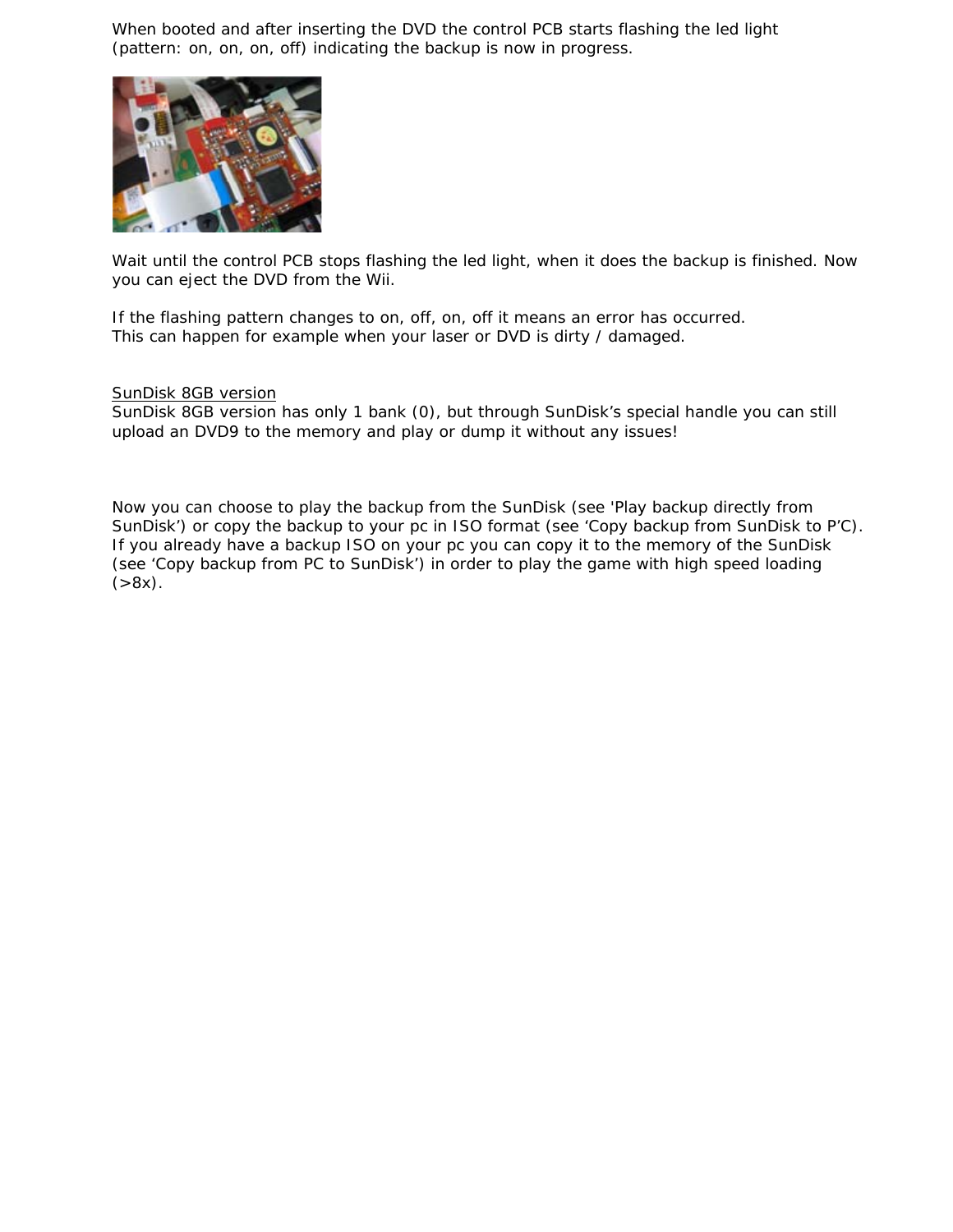When booted and after inserting the DVD the control PCB starts flashing the led light (pattern: on, on, on, off) indicating the backup is now in progress.



Wait until the control PCB stops flashing the led light, when it does the backup is finished. Now you can eject the DVD from the Wii.

If the flashing pattern changes to on, off, on, off it means an error has occurred. This can happen for example when your laser or DVD is dirty / damaged.

#### SunDisk 8GB version

SunDisk 8GB version has only 1 bank (0), but through SunDisk's special handle you can still upload an DVD9 to the memory and play or dump it without any issues!

Now you can choose to play the backup from the SunDisk (*see 'Play backup directly from SunDisk'*) or copy the backup to your pc in ISO format (*see 'Copy backup from SunDisk to P'C*). If you already have a backup ISO on your pc you can copy it to the memory of the SunDisk *(see 'Copy backup from PC to SunDisk')* in order to play the game with high speed loading  $( >8x).$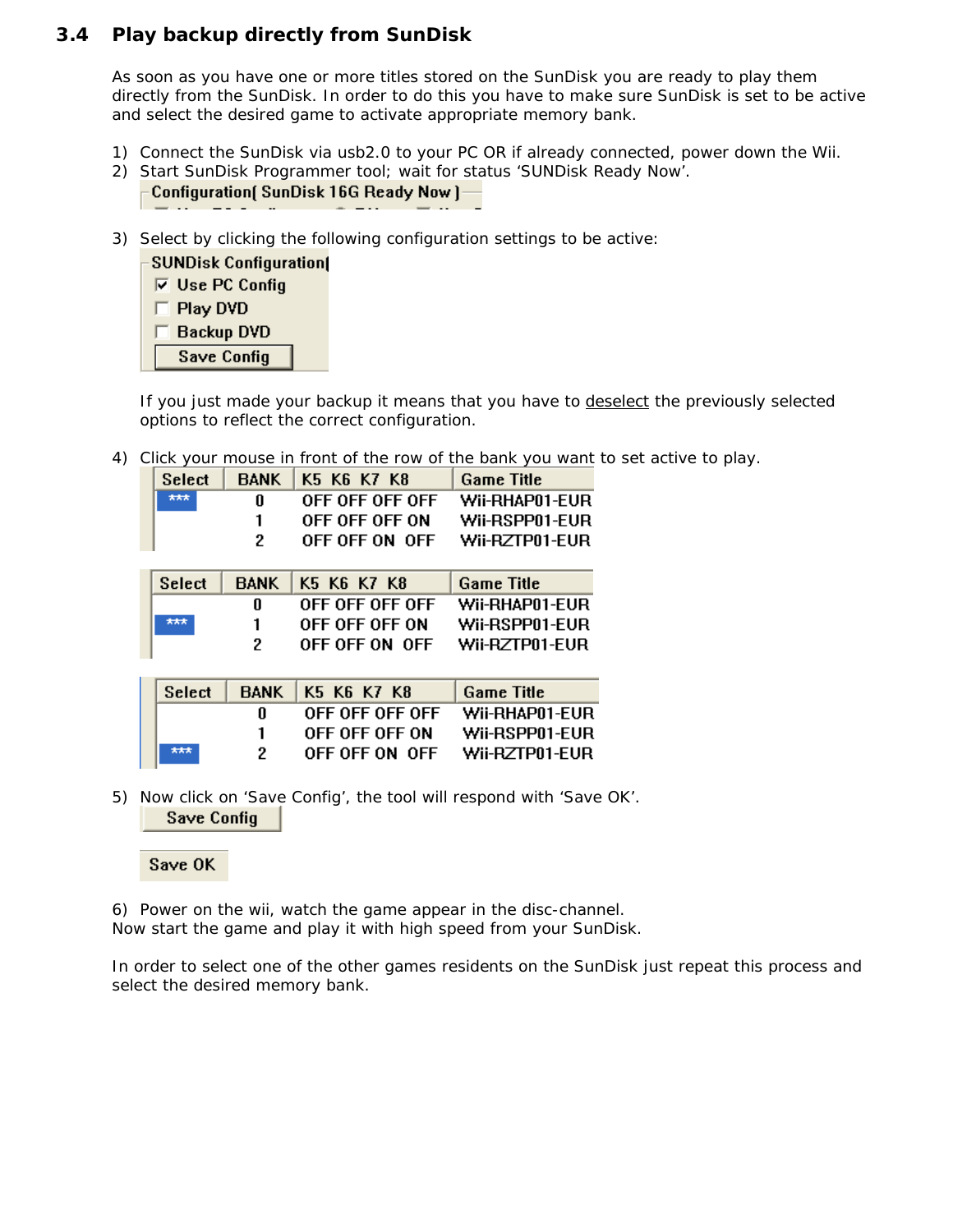#### <span id="page-10-0"></span>**3.4 Play backup directly from SunDisk**

As soon as you have one or more titles stored on the SunDisk you are ready to play them directly from the SunDisk. In order to do this you have to make sure SunDisk is set to be active and select the desired game to activate appropriate memory bank.

- 1) Connect the SunDisk via usb2.0 to your PC OR if already connected, power down the Wii.
- 2) Start SunDisk Programmer tool; wait for status 'SUNDisk Ready Now'. Configuration( SunDisk 16G Ready Now )-
- 3) Select by clicking the following configuration settings to be active:



If you just made your backup it means that you have to deselect the previously selected options to reflect the correct configuration.

4) Click your mouse in front of the row of the bank you want to set active to play.

| <b>Select</b> | <b>BANK</b> | K5 K6 K7 K8     | <b>Game Title</b> |
|---------------|-------------|-----------------|-------------------|
| ***           | 0           | OFF OFF OFF OFF | Wii-RHAP01-FUR    |
|               |             | OFF OFF OFF ON  | Wii-RSPP01-EUR    |
|               | 2           | OFF OFF ON OFF  | Wii-RZTP01-EUR    |
|               |             |                 |                   |
|               |             |                 |                   |
| <b>Select</b> | <b>BANK</b> | K5 K6 K7 K8     | <b>Game Title</b> |
|               | n           | OFF OFF OFF OFF | Wii-RHAP01-EUR    |
| ***           | 1           | OFF OFF OFF ON  | Wii-RSPP01-EUR    |
|               | 2           | OFF OFF ON OFF  | Wii-RZTP01-EUR    |
|               |             |                 |                   |

| Select |    | BANK   K5 K6 K7 K8 | <b>Game Title</b> |
|--------|----|--------------------|-------------------|
|        | н. | OFF OFF OFF OFF    | WII-RHAP01-FUR    |
|        |    | OFF OFF OFF ON     | Wii-RSPP01-EUR    |
| 大大大    |    | OFF OFF ON OFF     | Wii-RZTP01-EUR    |

5) Now click on 'Save Config', the tool will respond with 'Save OK'. **Save Config** 



6) Power on the wii, watch the game appear in the disc-channel. Now start the game and play it with high speed from your SunDisk.

In order to select one of the other games residents on the SunDisk just repeat this process and select the desired memory bank.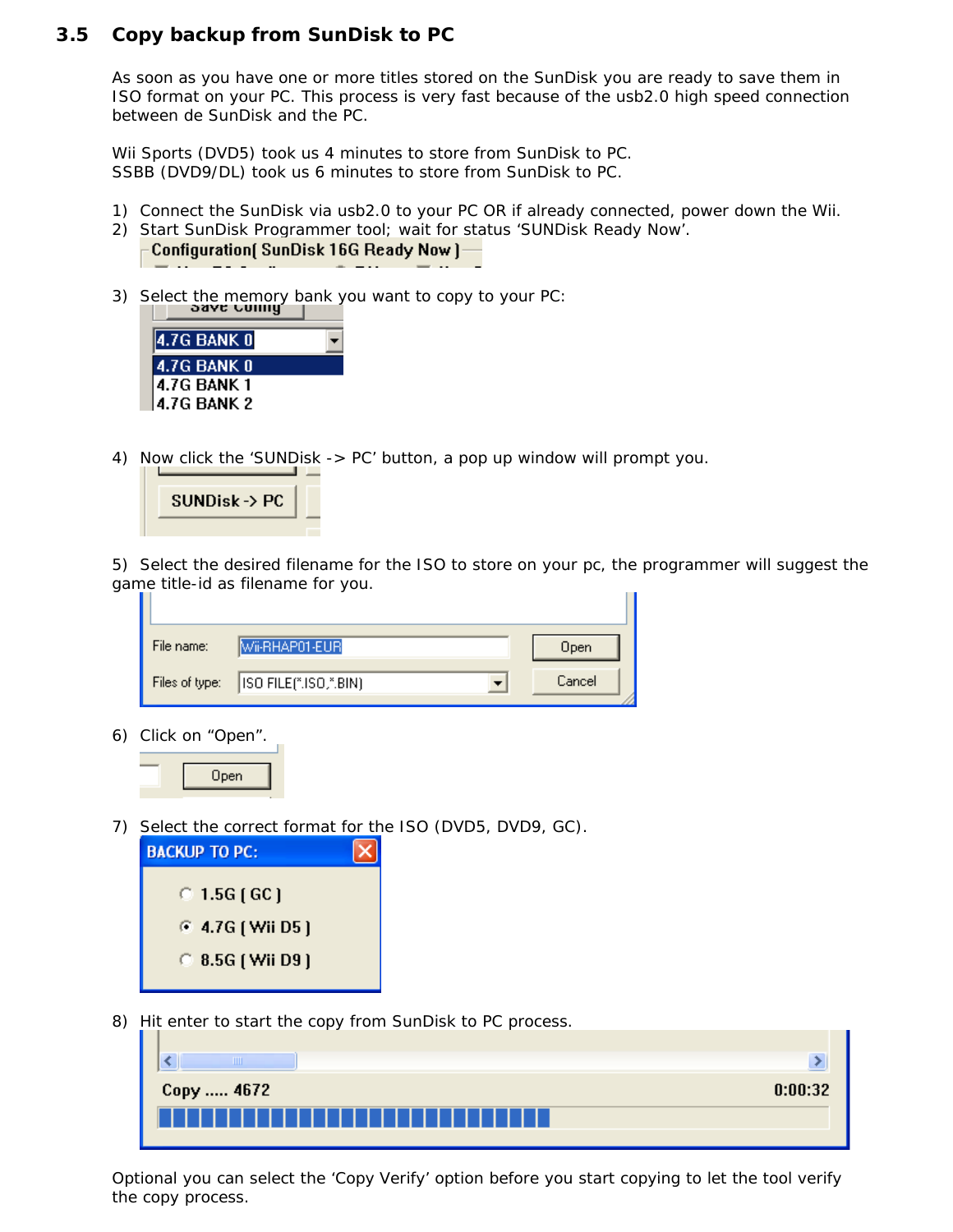#### <span id="page-11-0"></span>**3.5 Copy backup from SunDisk to PC**

As soon as you have one or more titles stored on the SunDisk you are ready to save them in ISO format on your PC. This process is very fast because of the usb2.0 high speed connection between de SunDisk and the PC.

*Wii Sports (DVD5) took us 4 minutes to store from SunDisk to PC. SSBB (DVD9/DL) took us 6 minutes to store from SunDisk to PC.* 

- 1) Connect the SunDisk via usb2.0 to your PC OR if already connected, power down the Wii.
- 2) Start SunDisk Programmer tool; wait for status 'SUNDisk Ready Now'.



3) Select the memory bank you want to copy to your PC:



4) Now click the 'SUNDisk -> PC' button, a pop up window will prompt you.



5) Select the desired filename for the ISO to store on your pc, the programmer will suggest the game title-id as filename for you.

| File name:     | Wi-RHAP01-EUR          | Open   |
|----------------|------------------------|--------|
| Files of type: | [ISO FILE(".ISO,".BIN) | Cancel |

6) Click on "Open".

| Upen |
|------|
|      |

7) Select the correct format for the ISO (DVD5, DVD9, GC).

| <b>BACKUP TO PC:</b>    |  |
|-------------------------|--|
| $\degree$ 1.5G ( GC )   |  |
| $6.4.7G$ ( Wii D5 )     |  |
| $\circ$ 8.5G ( Wii D9 ) |  |
|                         |  |

8) Hit enter to start the copy from SunDisk to PC process.

| Ш                                    |         |
|--------------------------------------|---------|
| Сору  4672                           | 0:00:32 |
| --------------------- <b>-------</b> |         |

Optional you can select the 'Copy Verify' option before you start copying to let the tool verify the copy process.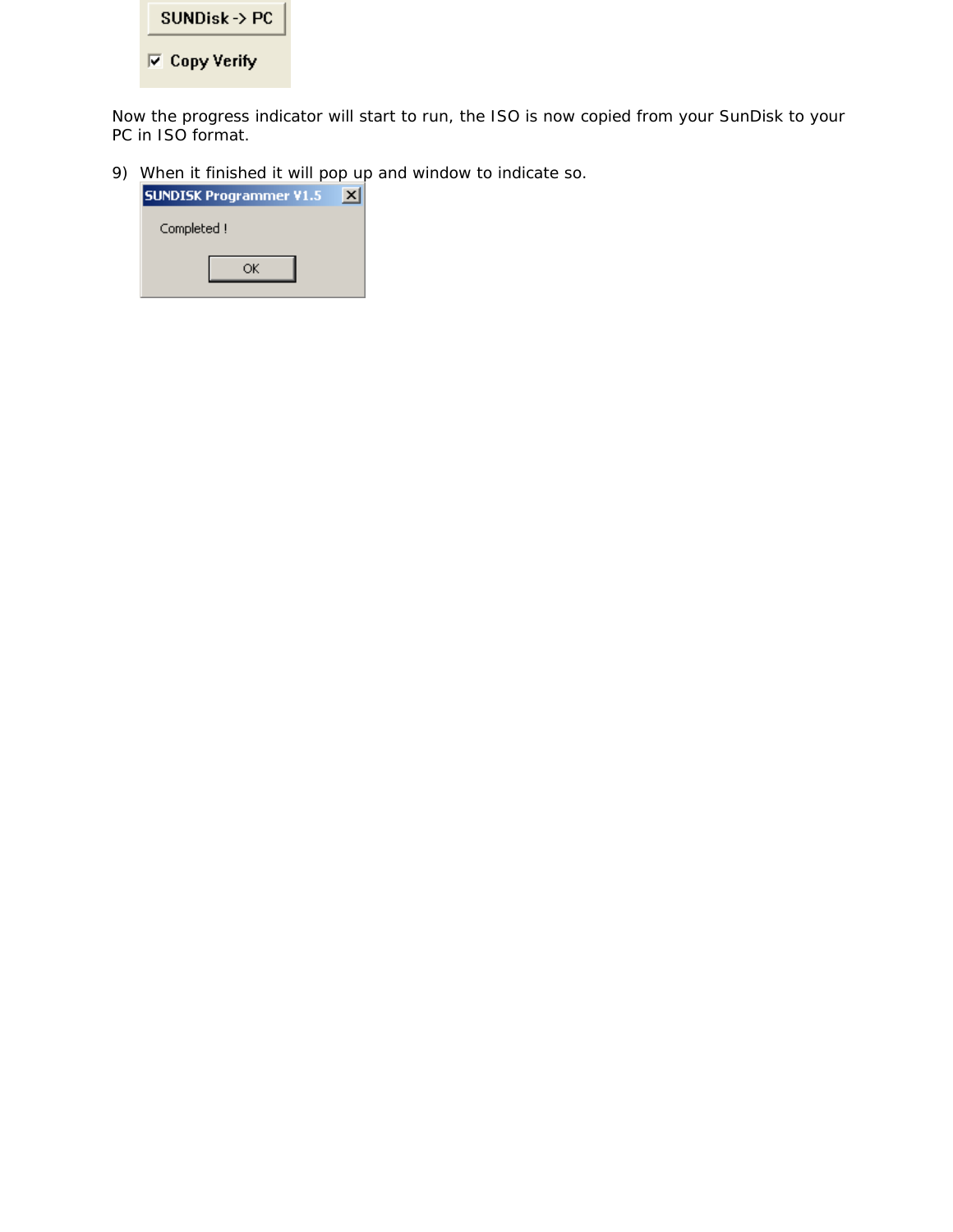

Now the progress indicator will start to run, the ISO is now copied from your SunDisk to your PC in ISO format.

9) When it finished it will pop up and window to indicate so.

| <b>SUNDISK Programmer V1.5</b> |  |  |  |
|--------------------------------|--|--|--|
| Completed!                     |  |  |  |
|                                |  |  |  |
|                                |  |  |  |
|                                |  |  |  |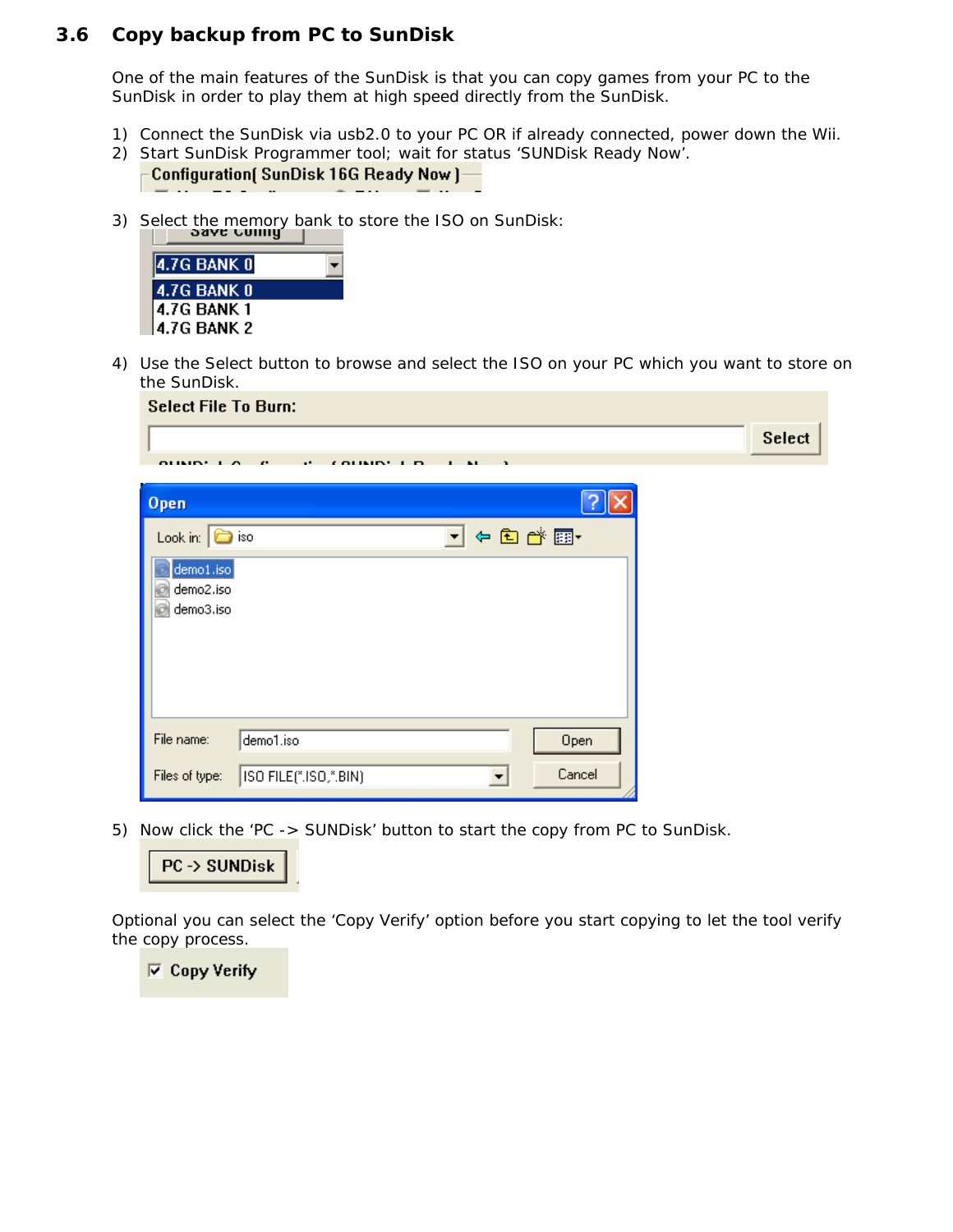#### <span id="page-13-0"></span>**3.6 Copy backup from PC to SunDisk**

One of the main features of the SunDisk is that you can copy games from your PC to the SunDisk in order to play them at high speed directly from the SunDisk.

- 1) Connect the SunDisk via usb2.0 to your PC OR if already connected, power down the Wii.
- 2) Start SunDisk Programmer tool; wait for status 'SUNDisk Ready Now'. Configuration [SunDisk 16G Ready Now ]-
- 3) Select the memory bank to store the ISO on SunDisk:



4) Use the Select button to browse and select the ISO on your PC which you want to store on the SunDisk.

| <b>Select File To Burn:</b>     |                       |                                 |               |
|---------------------------------|-----------------------|---------------------------------|---------------|
|                                 |                       |                                 | <b>Select</b> |
| $\cdots$                        |                       |                                 |               |
| Open                            |                       |                                 |               |
| Look in: $\boxed{\bigcirc}$ iso |                       | ← 白び雨 →<br>$\blacktriangledown$ |               |
| demo1.iso                       |                       |                                 |               |
| demo2.iso<br>demo3.iso          |                       |                                 |               |
|                                 |                       |                                 |               |
|                                 |                       |                                 |               |
|                                 |                       |                                 |               |
| File name:                      | demo1.iso             | Open                            |               |
| Files of type:                  | ISO FILE(*.ISO,*.BIN) | Cancel                          |               |

5) Now click the 'PC -> SUNDisk' button to start the copy from PC to SunDisk.



Optional you can select the 'Copy Verify' option before you start copying to let the tool verify the copy process.

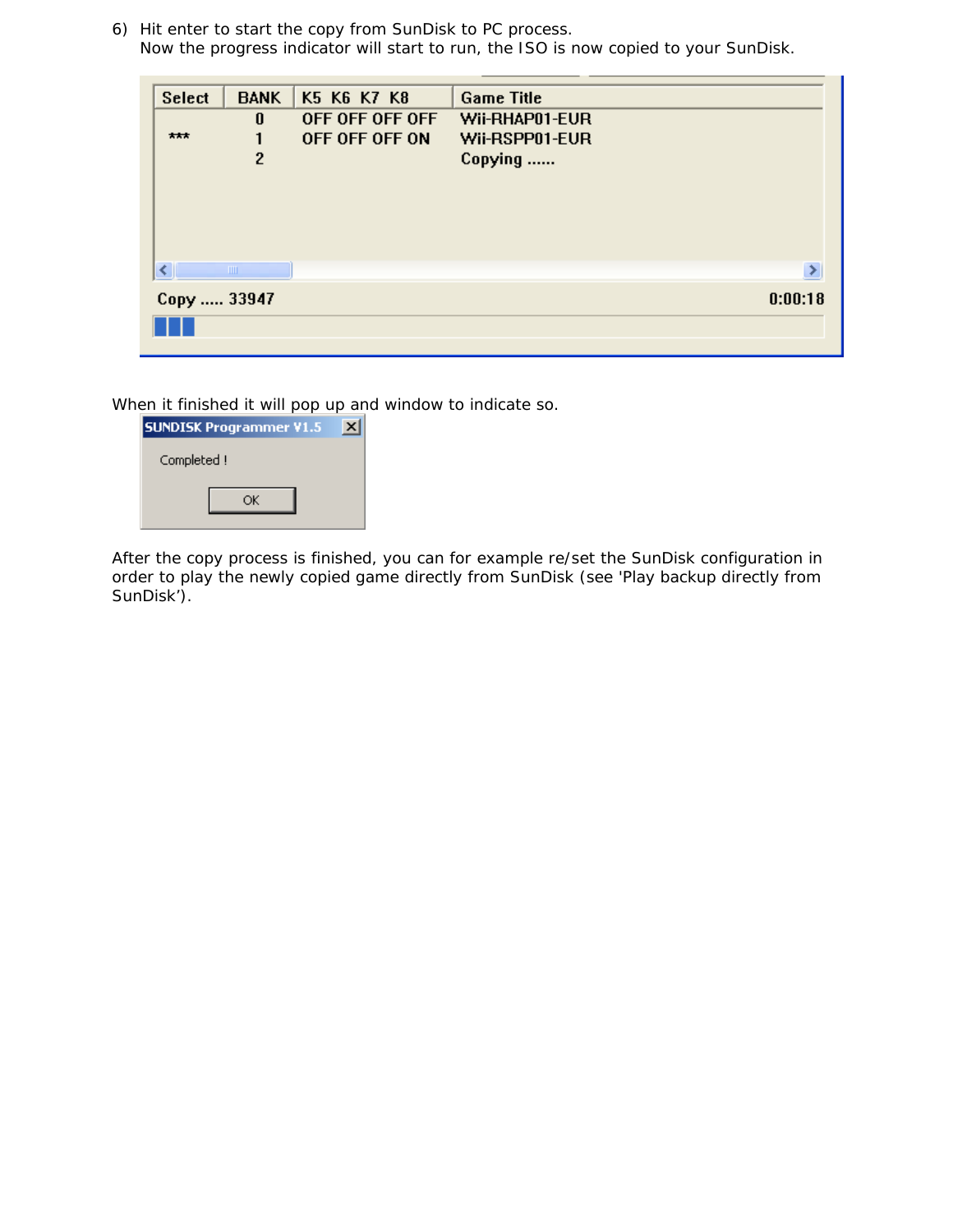6) Hit enter to start the copy from SunDisk to PC process. Now the progress indicator will start to run, the ISO is now copied to your SunDisk.

| <b>Select</b>          | <b>BANK</b>    | K5 K6 K7 K8     | <b>Game Title</b> |  |
|------------------------|----------------|-----------------|-------------------|--|
|                        | $\bf{0}$       | OFF OFF OFF OFF | Wii-RHAP01-EUR    |  |
| ***                    |                | OFF OFF OFF ON  | Wii-RSPP01-EUR    |  |
|                        | $\overline{c}$ |                 | Copying           |  |
|                        |                |                 |                   |  |
|                        |                |                 |                   |  |
|                        |                |                 |                   |  |
|                        |                |                 |                   |  |
| ∢                      | <b>TITLE</b>   |                 | ⋟                 |  |
|                        |                |                 |                   |  |
| 0:00:18<br>Сору  33947 |                |                 |                   |  |
|                        |                |                 |                   |  |
|                        |                |                 |                   |  |

When it finished it will pop up and window to indicate so.

| <b>SUNDISK Programmer V1.5</b> |  |
|--------------------------------|--|
| Completed !                    |  |
|                                |  |

After the copy process is finished, you can for example re/set the SunDisk configuration in order to play the newly copied game directly from SunDisk (*see 'Play backup directly from SunDisk'*).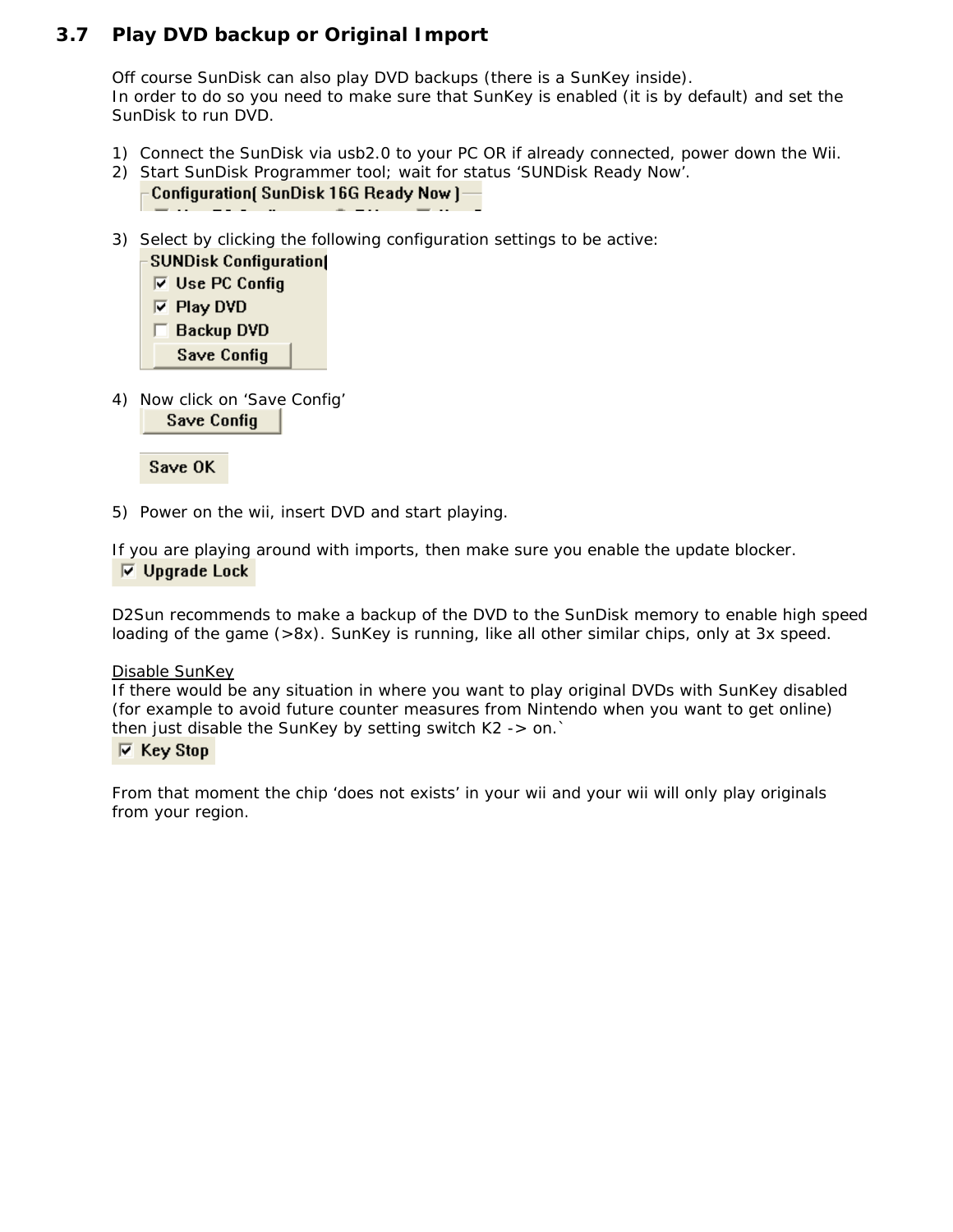#### <span id="page-15-0"></span>**3.7 Play DVD backup or Original Import**

Off course SunDisk can also play DVD backups (there is a SunKey inside). In order to do so you need to make sure that SunKey is enabled *(it is by default)* and set the SunDisk to run DVD.

- 1) Connect the SunDisk via usb2.0 to your PC OR if already connected, power down the Wii.
- 2) Start SunDisk Programmer tool; wait for status 'SUNDisk Ready Now'. Configuration( SunDisk 16G Ready Now )-
- 3) Select by clicking the following configuration settings to be active: **SUNDisk Configuration(**



4) Now click on 'Save Config' **Save Config** 

Save OK

5) Power on the wii, insert DVD and start playing.

If you are playing around with imports, then make sure you enable the update blocker.  $\overline{\triangledown}$  Upgrade Lock

D2Sun recommends to make a backup of the DVD to the SunDisk memory to enable high speed loading of the game (>8x). SunKey is running, like all other similar chips, only at 3x speed.

#### Disable SunKey

If there would be any situation in where you want to play original DVDs with SunKey disabled (for example to avoid future counter measures from Nintendo when you want to get online) then just disable the SunKey by setting switch K2 -> on.`

#### $\nabla$  Key Stop

From that moment the chip 'does not exists' in your wii and your wii will only play originals from your region.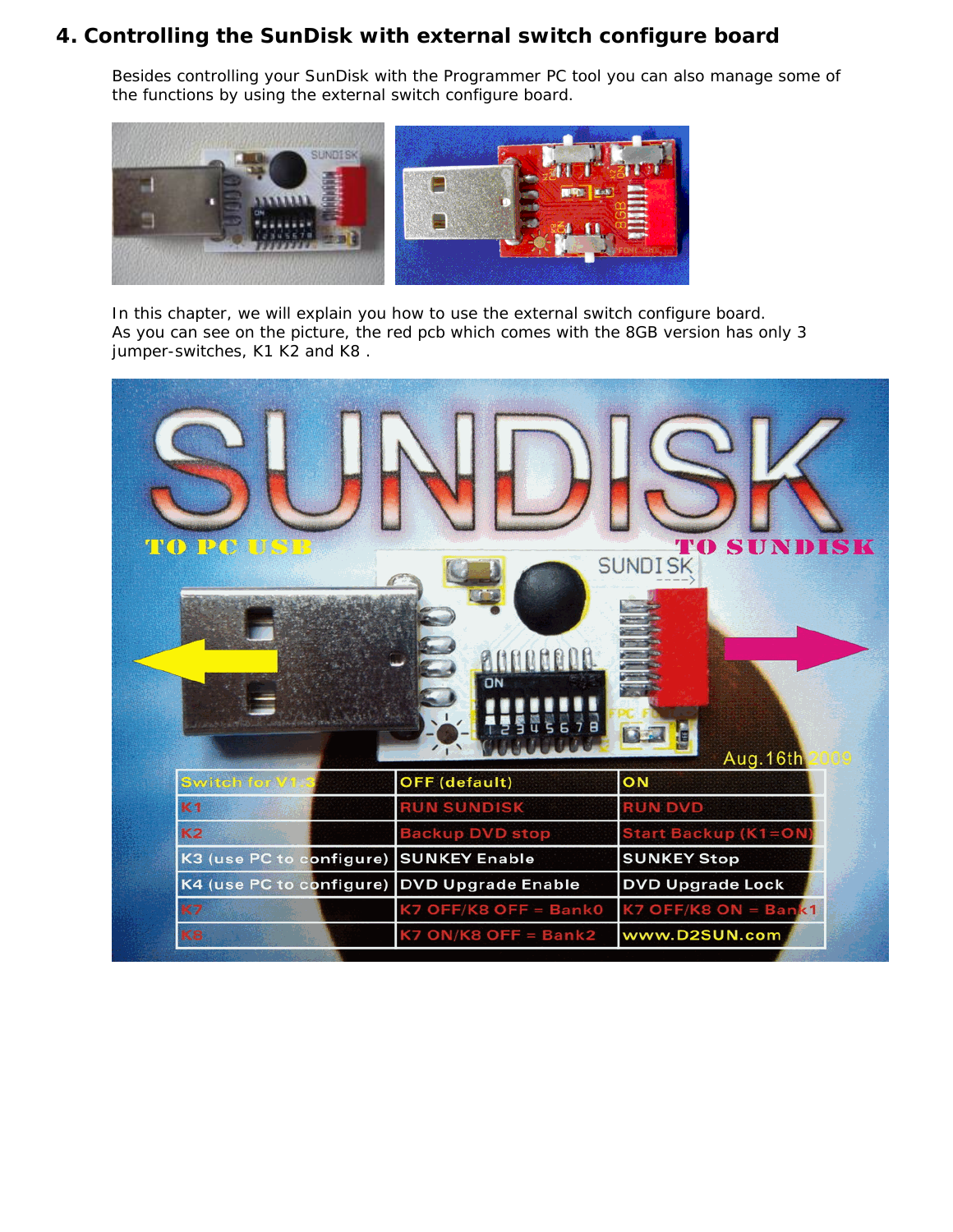## <span id="page-16-0"></span>**4. Controlling the SunDisk with external switch configure board**

Besides controlling your SunDisk with the Programmer PC tool you can also manage some of the functions by using the external switch configure board.



In this chapter, we will explain you how to use the external switch configure board. As you can see on the picture, the red pcb which comes with the 8GB version has only 3 jumper-switches, K1 K2 and K8 .

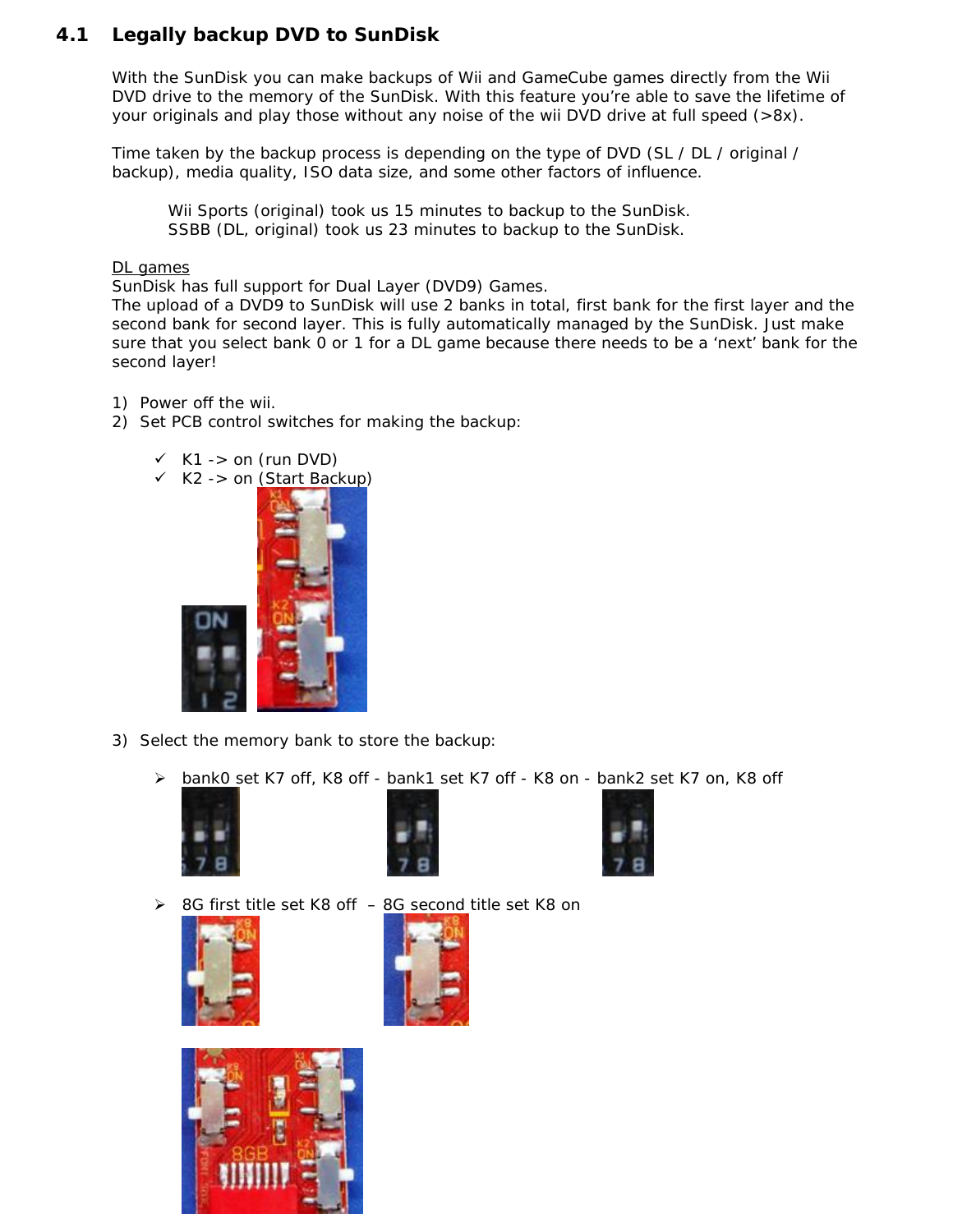## <span id="page-17-0"></span>**4.1 Legally backup DVD to SunDisk**

With the SunDisk you can make backups of Wii and GameCube games directly from the Wii DVD drive to the memory of the SunDisk. With this feature you're able to save the lifetime of your originals and play those without any noise of the wii DVD drive at full speed  $(>8x)$ .

Time taken by the backup process is depending on the type of DVD (SL / DL / original / backup), media quality, ISO data size, and some other factors of influence.

*Wii Sports (original) took us 15 minutes to backup to the SunDisk. SSBB (DL, original) took us 23 minutes to backup to the SunDisk.* 

#### DL games

SunDisk has full support for Dual Layer *(DVD9)* Games.

The upload of a DVD9 to SunDisk will use 2 banks in total, first bank for the first layer and the second bank for second layer. This is fully automatically managed by the SunDisk. Just make sure that you select bank 0 or 1 for a DL game because there needs to be a 'next' bank for the second layer!

- 1) Power off the wii.
- 2) Set PCB control switches for making the backup:





 $\overline{\phantom{a}}$ 

- 3) Select the memory bank to store the backup:
	- > bank0 set K7 off, K8 off bank1 set K7 off K8 on bank2 set K7 on, K8 off











8G first title set K8 off – 8G second title set K8 on



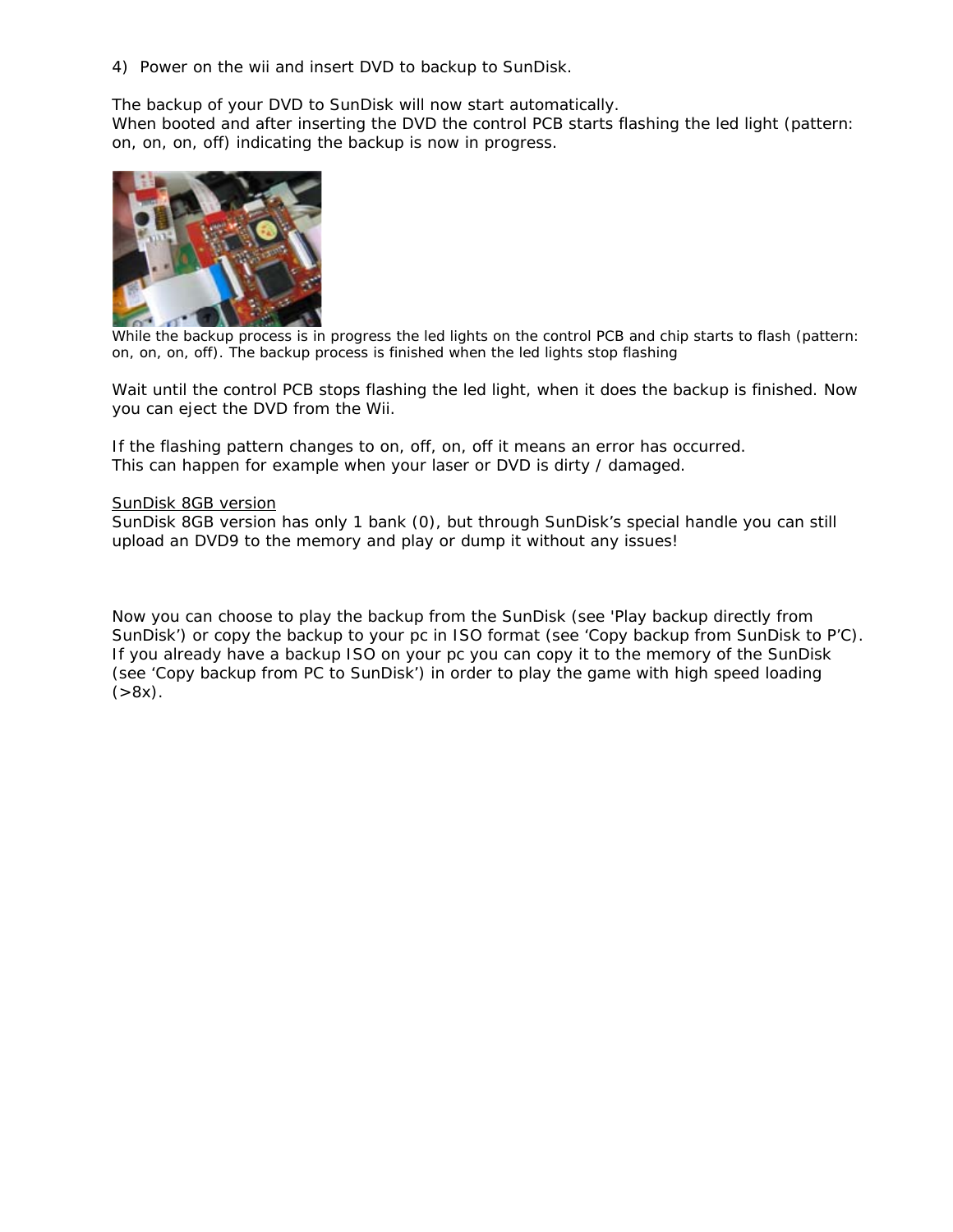4) Power on the wii and insert DVD to backup to SunDisk.

The backup of your DVD to SunDisk will now start automatically. When booted and after inserting the DVD the control PCB starts flashing the led light (pattern: on, on, on, off) indicating the backup is now in progress.



*While the backup process is in progress the led lights on the control PCB and chip starts to flash (pattern: on, on, on, off). The backup process is finished when the led lights stop flashing*

Wait until the control PCB stops flashing the led light, when it does the backup is finished. Now you can eject the DVD from the Wii.

If the flashing pattern changes to on, off, on, off it means an error has occurred. This can happen for example when your laser or DVD is dirty / damaged.

#### SunDisk 8GB version

SunDisk 8GB version has only 1 bank (0), but through SunDisk's special handle you can still upload an DVD9 to the memory and play or dump it without any issues!

Now you can choose to play the backup from the SunDisk (*see 'Play backup directly from SunDisk'*) or copy the backup to your pc in ISO format (*see 'Copy backup from SunDisk to P'C*). If you already have a backup ISO on your pc you can copy it to the memory of the SunDisk *(see 'Copy backup from PC to SunDisk')* in order to play the game with high speed loading  $( >8x).$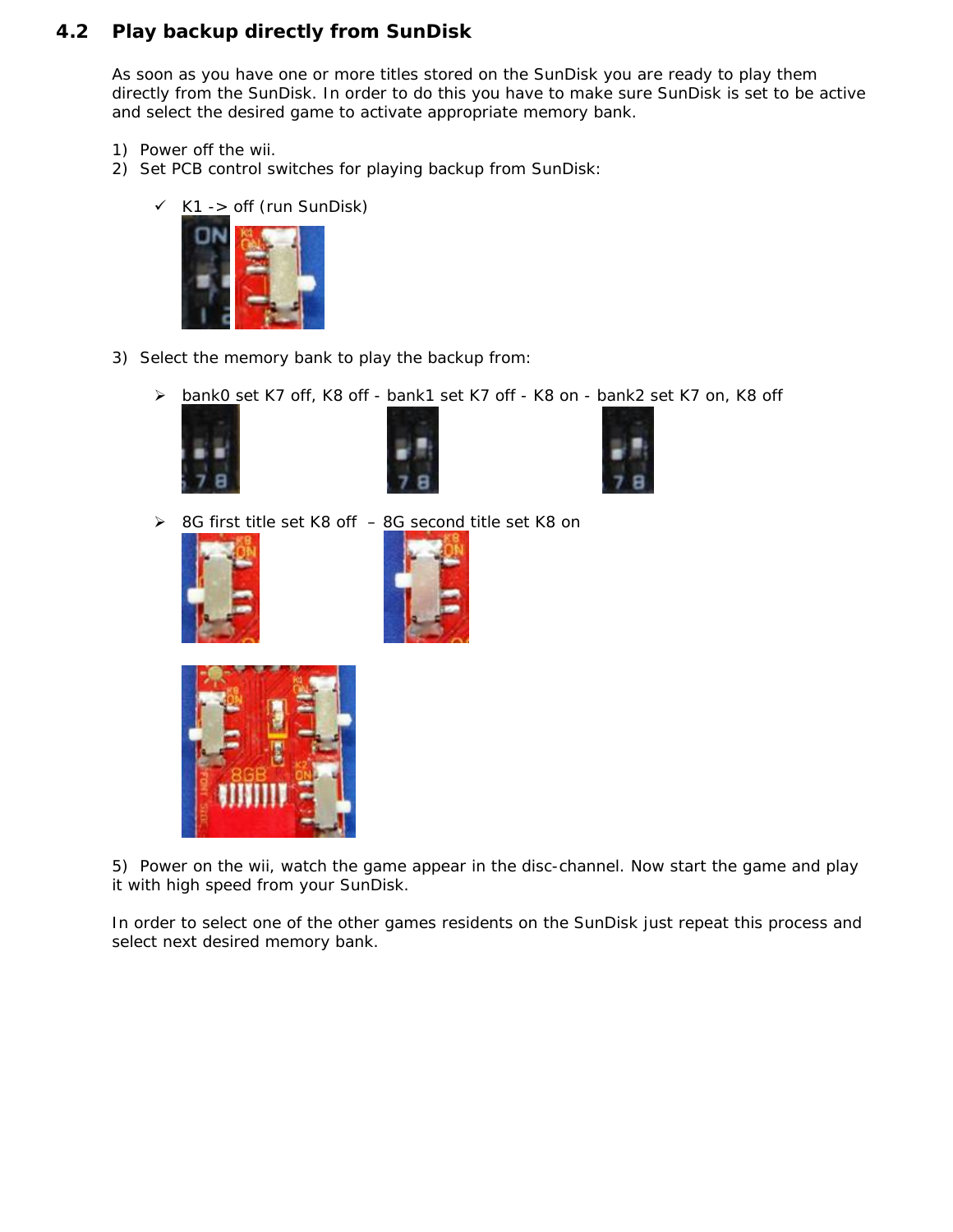#### <span id="page-19-0"></span>**4.2 Play backup directly from SunDisk**

As soon as you have one or more titles stored on the SunDisk you are ready to play them directly from the SunDisk. In order to do this you have to make sure SunDisk is set to be active and select the desired game to activate appropriate memory bank.

- 1) Power off the wii.
- 2) Set PCB control switches for playing backup from SunDisk:
	- K1 -> off *(run SunDisk)*



- 3) Select the memory bank to play the backup from:
	- > bank0 set K7 off, K8 off bank1 set K7 off K8 on bank2 set K7 on, K8 off







8G first title set K8 off – 8G second title set K8 on









In order to select one of the other games residents on the SunDisk just repeat this process and select next desired memory bank.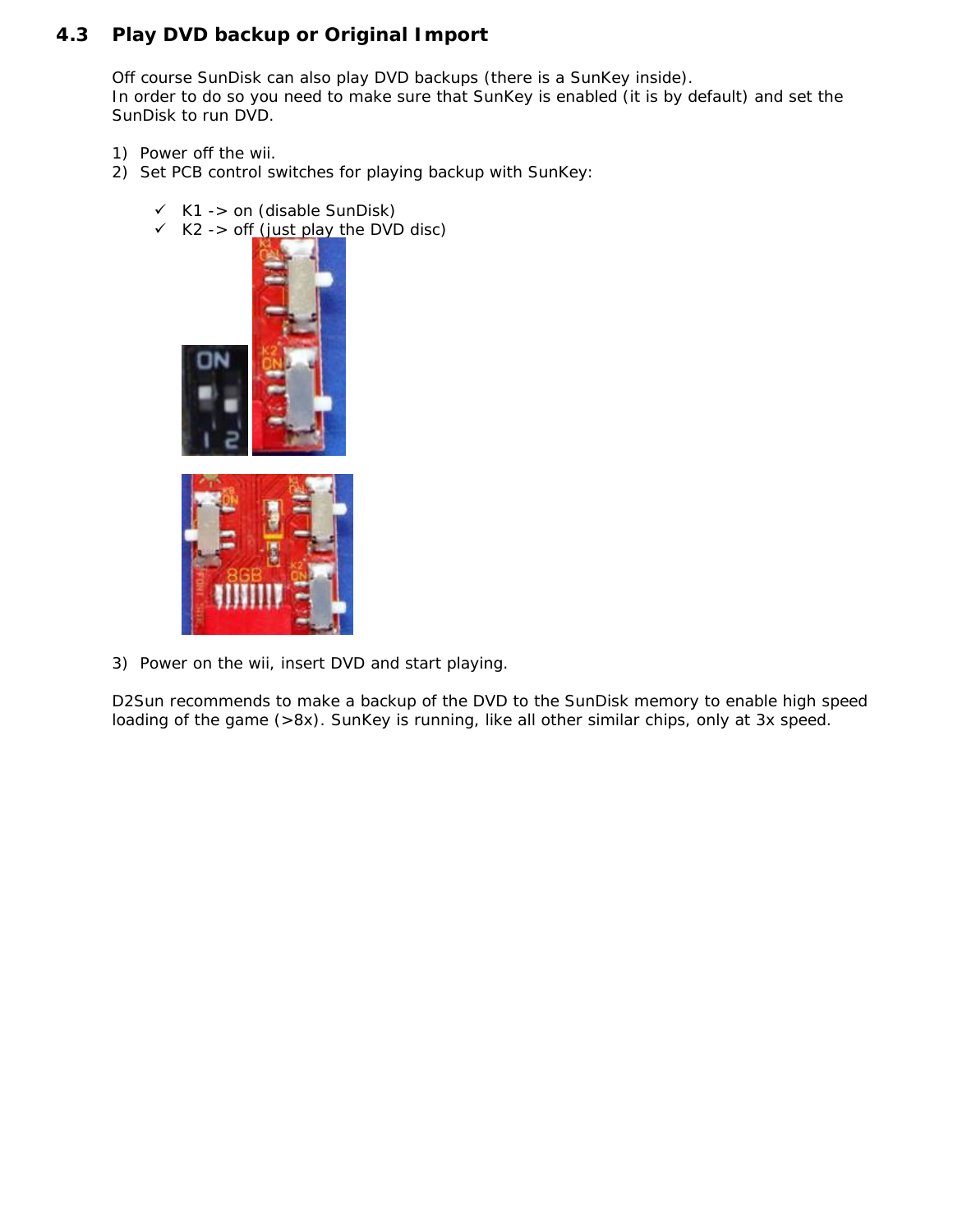## <span id="page-20-0"></span>**4.3 Play DVD backup or Original Import**

Off course SunDisk can also play DVD backups (there is a SunKey inside). In order to do so you need to make sure that SunKey is enabled *(it is by default)* and set the SunDisk to run DVD.

- 1) Power off the wii.
- 2) Set PCB control switches for playing backup with SunKey:
	- K1 -> on *(disable SunDisk)*
	- K2 -> off *(just play the DVD disc)*



3) Power on the wii, insert DVD and start playing.

D2Sun recommends to make a backup of the DVD to the SunDisk memory to enable high speed loading of the game (>8x). SunKey is running, like all other similar chips, only at 3x speed.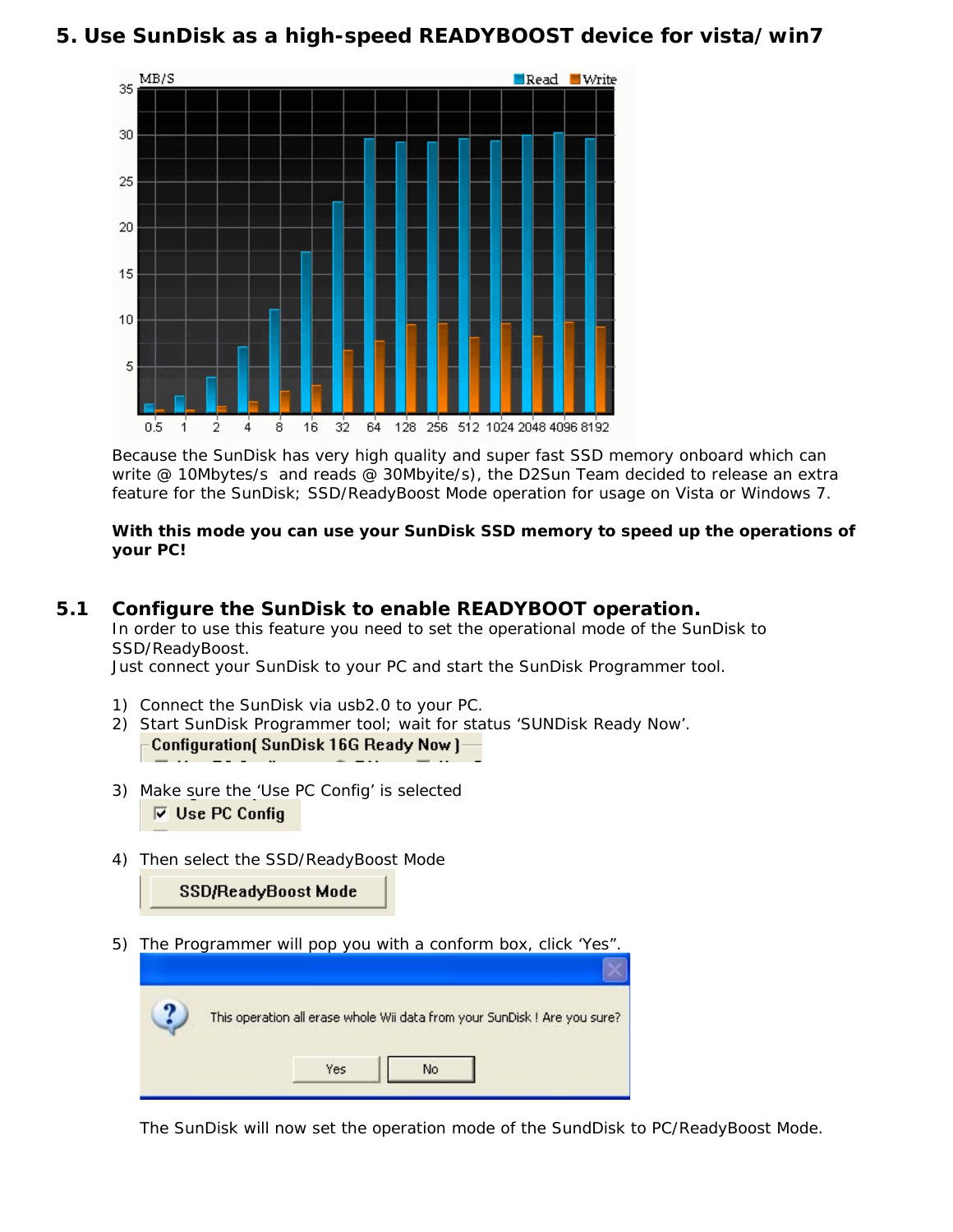## <span id="page-21-0"></span>**5. Use SunDisk as a high-speed READYBOOST device for vista/win7**



Because the SunDisk has very high quality and super fast SSD memory onboard which can write @ 10Mbytes/s and reads @ 30Mbyite/s), the D2Sun Team decided to release an extra feature for the SunDisk; SSD/ReadyBoost Mode operation for usage on Vista or Windows 7.

#### **With this mode you can use your SunDisk SSD memory to speed up the operations of your PC!**

#### <span id="page-21-1"></span>**5.1 Configure the SunDisk to enable READYBOOT operation.**

In order to use this feature you need to set the operational mode of the SunDisk to SSD/ReadyBoost.

Just connect your SunDisk to your PC and start the SunDisk Programmer tool.

- 1) Connect the SunDisk via usb2.0 to your PC.
- 2) Start SunDisk Programmer tool; wait for status 'SUNDisk Ready Now'. Configuration [SunDisk 16G Ready Now ]-
- 3) Make sure the 'Use PC Config' is selected  $\overline{\triangleright}$  Use PC Config
- 4) Then select the SSD/ReadyBoost Mode

SSD/ReadyBoost Mode

5) The Programmer will pop you with a conform box, click 'Yes".

| This operation all erase whole Wii data from your SunDisk ! Are you sure? |
|---------------------------------------------------------------------------|
| Yes                                                                       |

The SunDisk will now set the operation mode of the SundDisk to PC/ReadyBoost Mode.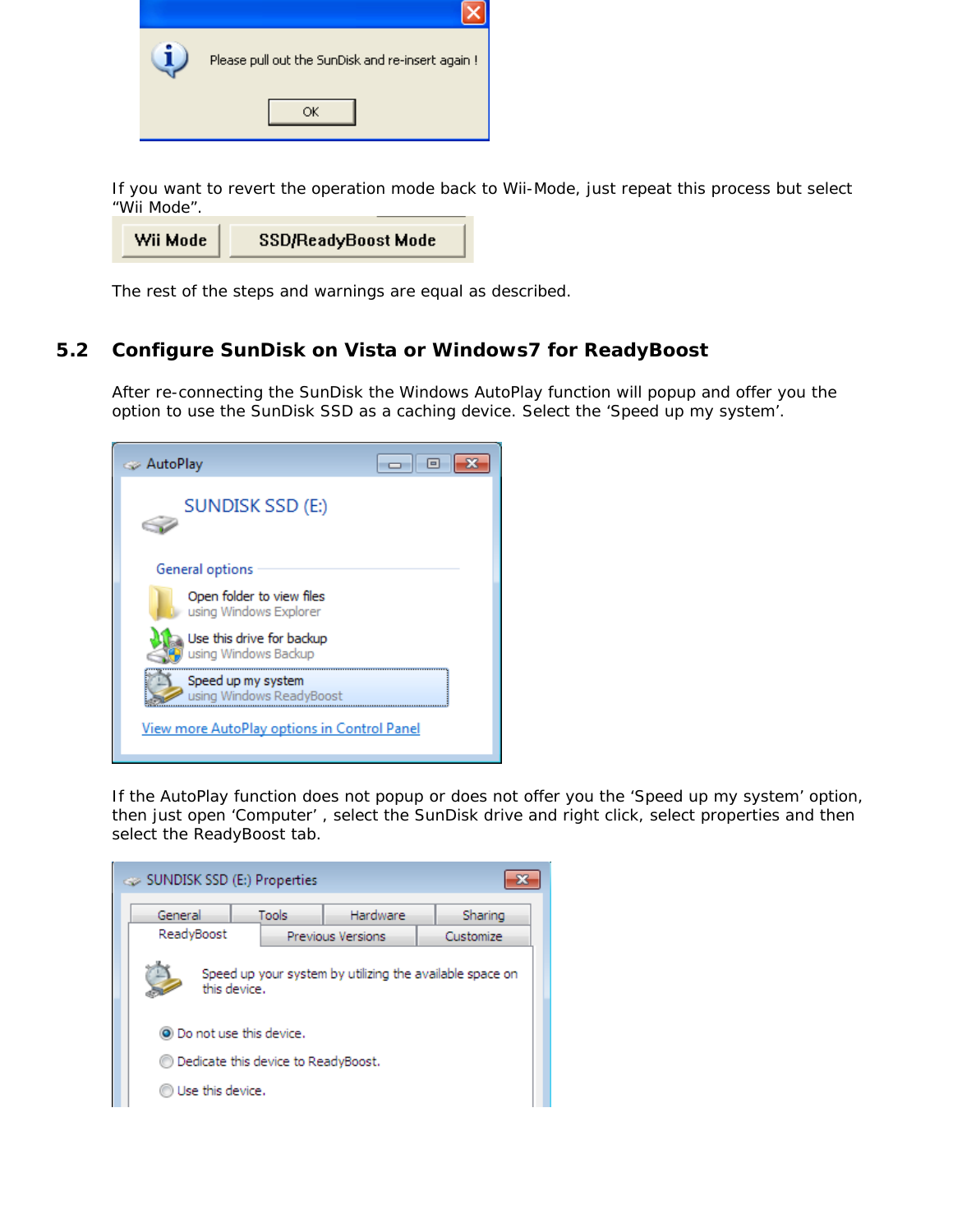| Please pull out the SunDisk and re-insert again ! |  |  |
|---------------------------------------------------|--|--|
|                                                   |  |  |

If you want to revert the operation mode back to Wii-Mode, just repeat this process but select "Wii Mode".

The rest of the steps and warnings are equal as described.

#### <span id="page-22-0"></span>**5.2 Configure SunDisk on Vista or Windows7 for ReadyBoost**

After re-connecting the SunDisk the Windows AutoPlay function will popup and offer you the option to use the SunDisk SSD as a caching device. Select the 'Speed up my system'.

| AutoPlay ے                                          |
|-----------------------------------------------------|
| SUNDISK SSD (E:)                                    |
| General options                                     |
| Open folder to view files<br>using Windows Explorer |
| Use this drive for backup<br>using Windows Backup   |
| Speed up my system<br>using Windows ReadyBoost      |
| View more AutoPlay options in Control Panel         |

If the AutoPlay function does not popup or does not offer you the 'Speed up my system' option, then just open 'Computer' , select the SunDisk drive and right click, select properties and then select the ReadyBoost tab.

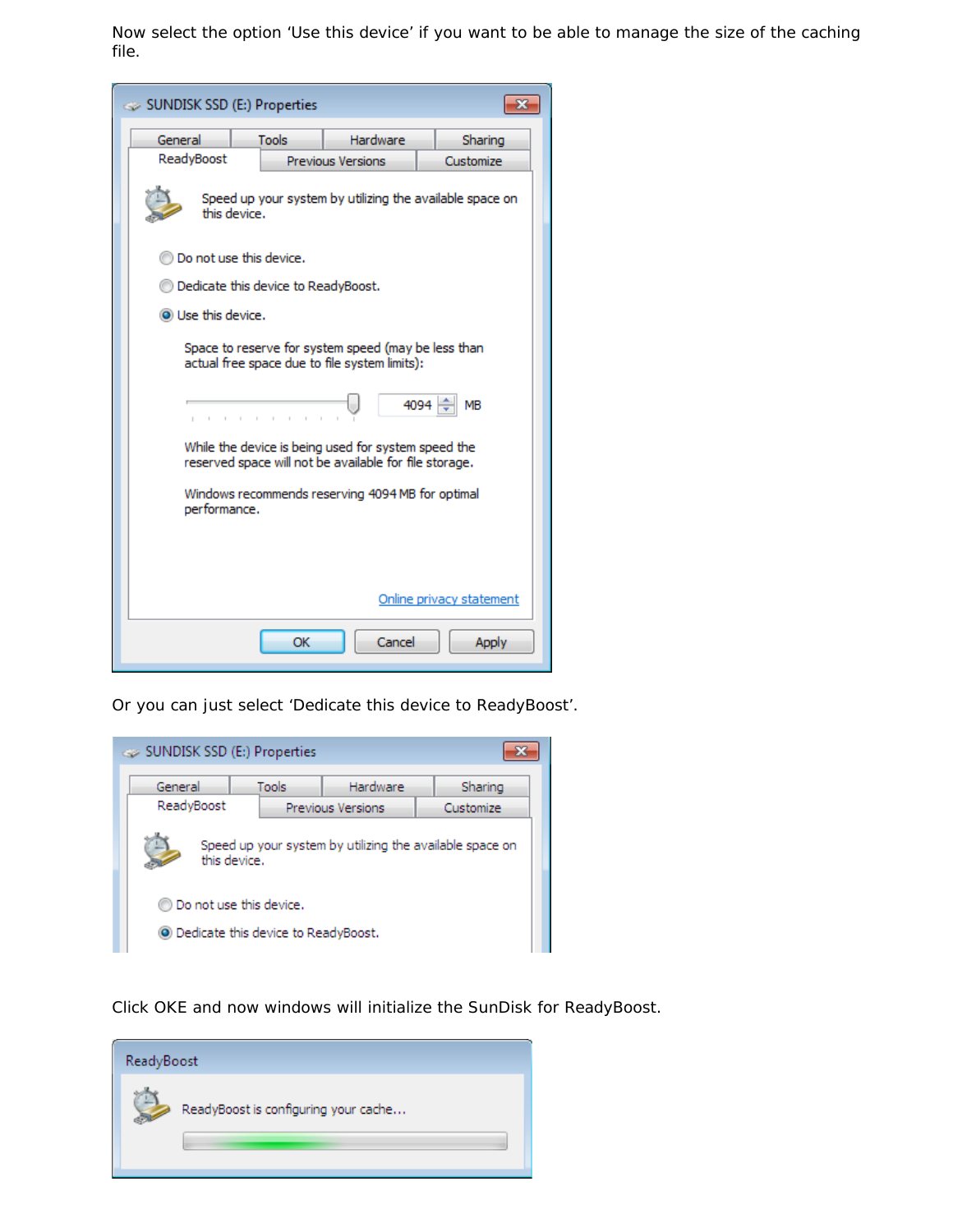Now select the option 'Use this device' if you want to be able to manage the size of the caching file.



Or you can just select 'Dedicate this device to ReadyBoost'.



Click OKE and now windows will initialize the SunDisk for ReadyBoost.

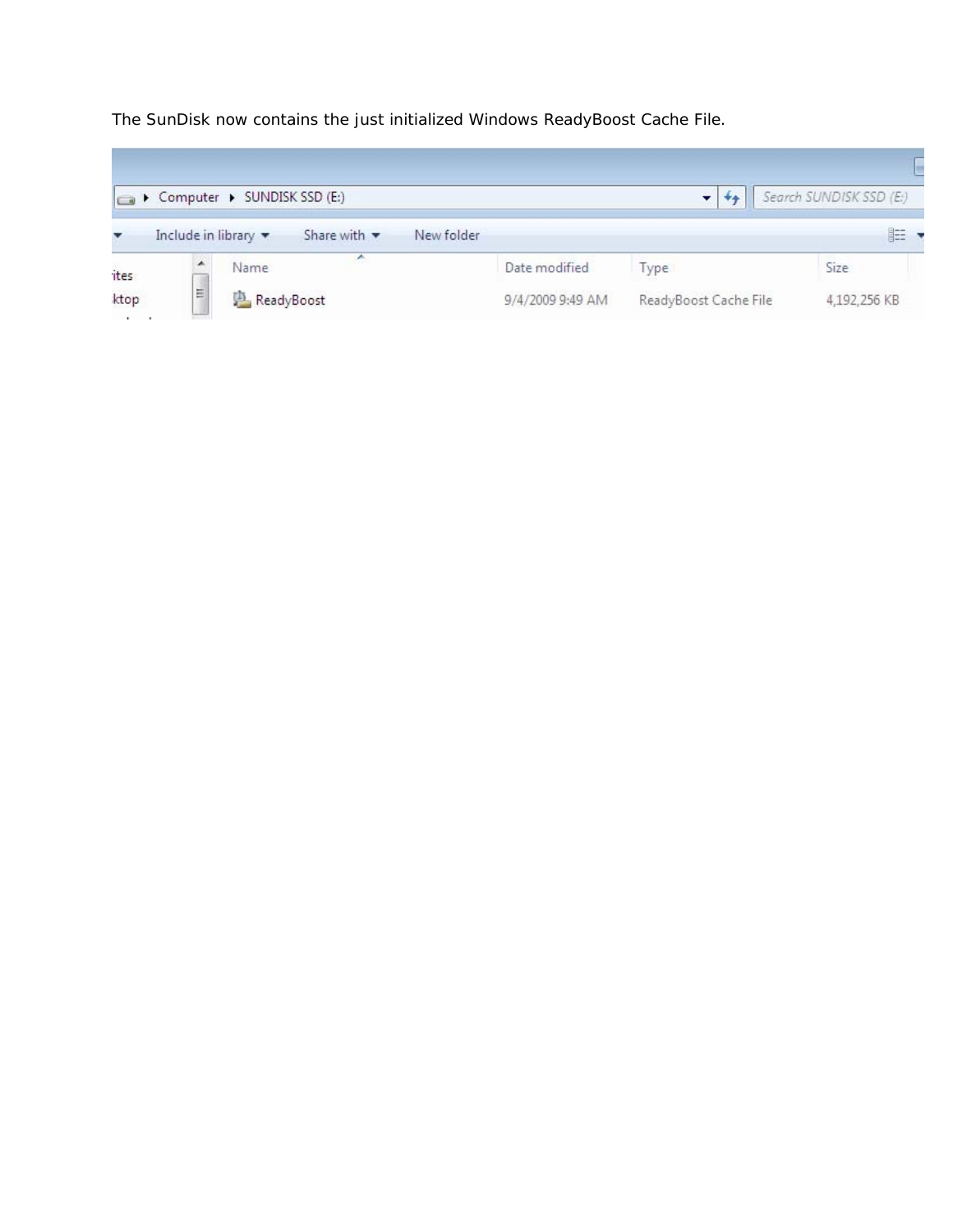The SunDisk now contains the just initialized Windows ReadyBoost Cache File.

÷

|      |                                         | Computer > SUNDISK SSD (E:)     |                  |                       | Search SUNDISK SSD (E:) |
|------|-----------------------------------------|---------------------------------|------------------|-----------------------|-------------------------|
|      | Include in library $\blacktriangledown$ | Share with $\blacktriangledown$ | New folder       |                       | 睚                       |
| ites | ▲                                       | ∽<br>Name                       | Date modified    | Type                  | Size                    |
| ktop | E                                       | ReadyBoost                      | 9/4/2009 9:49 AM | ReadyBoost Cache File | 4,192,256 KB            |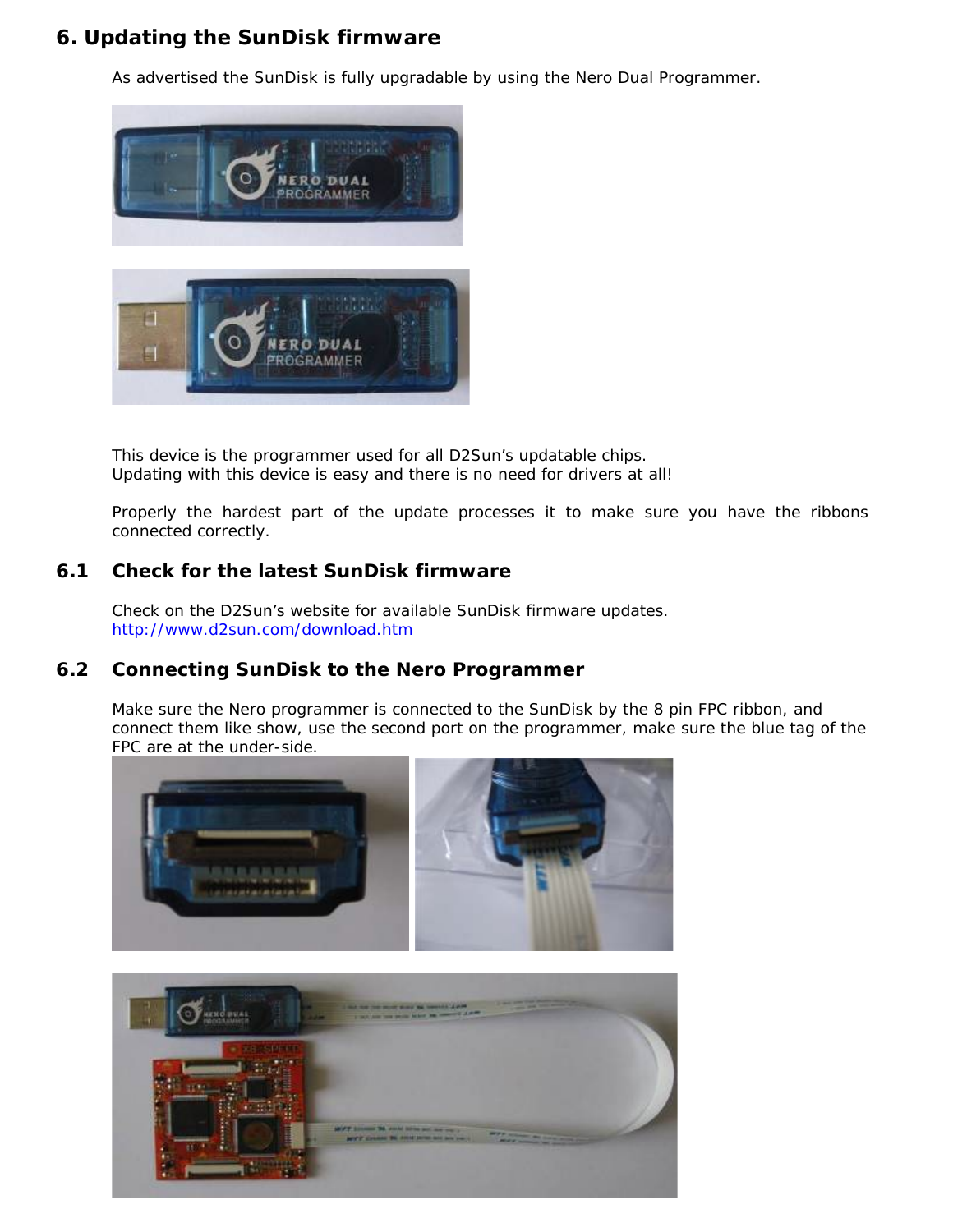## <span id="page-25-0"></span>**6. Updating the SunDisk firmware**

As advertised the SunDisk is fully upgradable by using the Nero Dual Programmer.



This device is the programmer used for all D2Sun's updatable chips. Updating with this device is easy and there is no need for drivers at all!

Properly the hardest part of the update processes it to make sure you have the ribbons connected correctly.

#### <span id="page-25-1"></span>**6.1 Check for the latest SunDisk firmware**

Check on the D2Sun's website for available SunDisk firmware updates. <http://www.d2sun.com/download.htm>

#### <span id="page-25-2"></span>**6.2 Connecting SunDisk to the Nero Programmer**

Make sure the Nero programmer is connected to the SunDisk by the 8 pin FPC ribbon, and connect them like show, use the second port on the programmer, make sure the blue tag of the FPC are at the under-side.

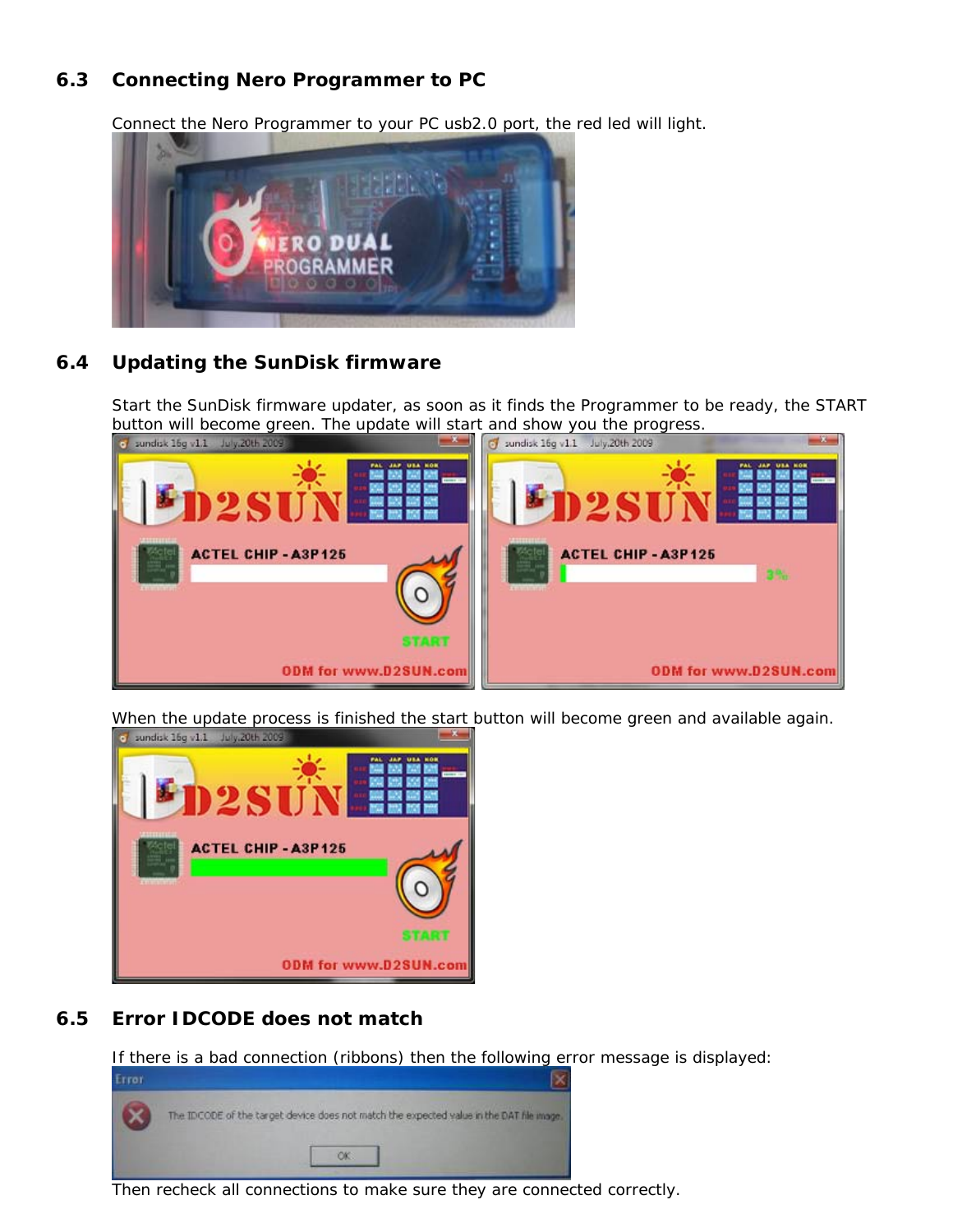## <span id="page-26-0"></span>**6.3 Connecting Nero Programmer to PC**

Connect the Nero Programmer to your PC usb2.0 port, the red led will light.



## <span id="page-26-1"></span>**6.4 Updating the SunDisk firmware**

Start the SunDisk firmware updater, as soon as it finds the Programmer to be ready, the START button will become green. The update will start and show you the progress.



When the update process is finished the start button will become green and available again.



#### <span id="page-26-2"></span>**6.5 Error IDCODE does not match**

If there is a bad connection (ribbons) then the following error message is displayed:



Then recheck all connections to make sure they are connected correctly.